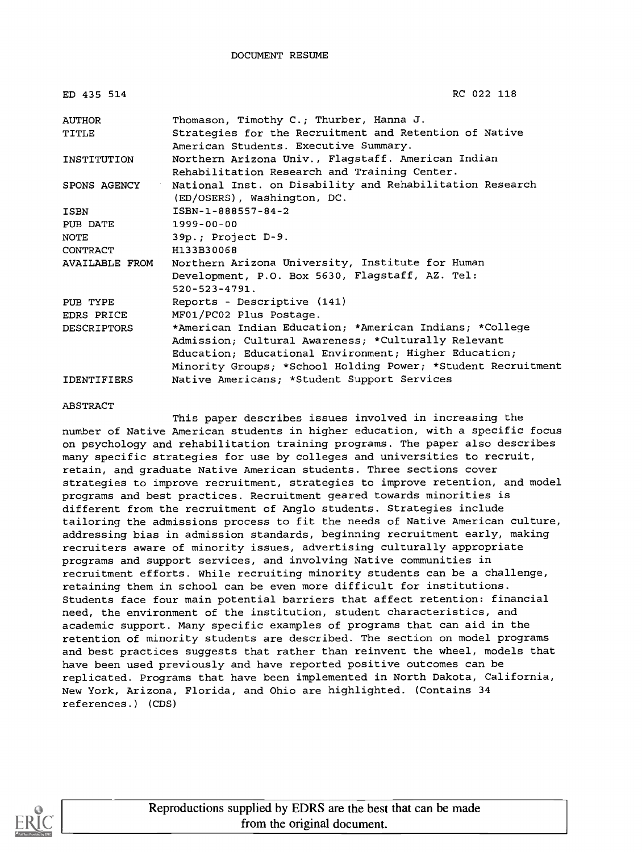| ED 435 514            | RC 022 118                                                                                         |
|-----------------------|----------------------------------------------------------------------------------------------------|
| <b>AUTHOR</b>         | Thomason, Timothy C.; Thurber, Hanna J.                                                            |
| TITLE                 | Strategies for the Recruitment and Retention of Native<br>American Students. Executive Summary.    |
| INSTITUTION           | Northern Arizona Univ., Flagstaff. American Indian<br>Rehabilitation Research and Training Center. |
| SPONS AGENCY          | National Inst. on Disability and Rehabilitation Research<br>(ED/OSERS), Washington, DC.            |
| ISBN                  | ISBN-1-888557-84-2                                                                                 |
| PUB DATE              | 1999-00-00                                                                                         |
| <b>NOTE</b>           | 39p.; Project D-9.                                                                                 |
| CONTRACT              | H133B30068                                                                                         |
| <b>AVAILABLE FROM</b> | Northern Arizona University, Institute for Human                                                   |
|                       | Development, P.O. Box 5630, Flagstaff, AZ. Tel:                                                    |
|                       | $520 - 523 - 4791.$                                                                                |
| PUB TYPE              | Reports - Descriptive (141)                                                                        |
| EDRS PRICE            | MF01/PC02 Plus Postage.                                                                            |
| <b>DESCRIPTORS</b>    | *American Indian Education; *American Indians; *College                                            |
|                       | Admission; Cultural Awareness; *Culturally Relevant                                                |
|                       | Education; Educational Environment; Higher Education;                                              |
|                       | Minority Groups; *School Holding Power; *Student Recruitment                                       |
| <b>IDENTIFIERS</b>    | Native Americans; *Student Support Services                                                        |

#### ABSTRACT

This paper describes issues involved in increasing the number of Native American students in higher education, with a specific focus on psychology and rehabilitation training programs. The paper also describes many specific strategies for use by colleges and universities to recruit, retain, and graduate Native American students. Three sections cover strategies to improve recruitment, strategies to improve retention, and model programs and best practices. Recruitment geared towards minorities is different from the recruitment of Anglo students. Strategies include tailoring the admissions process to fit the needs of Native American culture, addressing bias in admission standards, beginning recruitment early, making recruiters aware of minority issues, advertising culturally appropriate programs and support services, and involving Native communities in recruitment efforts. While recruiting minority students can be a challenge, retaining them in school can be even more difficult for institutions. Students face four main potential barriers that affect retention: financial need, the environment of the institution, student characteristics, and academic support. Many specific examples of programs that can aid in the retention of minority students are described. The section on model programs and best practices suggests that rather than reinvent the wheel, models that have been used previously and have reported positive outcomes can be replicated. Programs that have been implemented in North Dakota, California, New York, Arizona, Florida, and Ohio are highlighted. (Contains 34 references.) (CDS)



Reproductions supplied by EDRS are the best that can be made from the original document.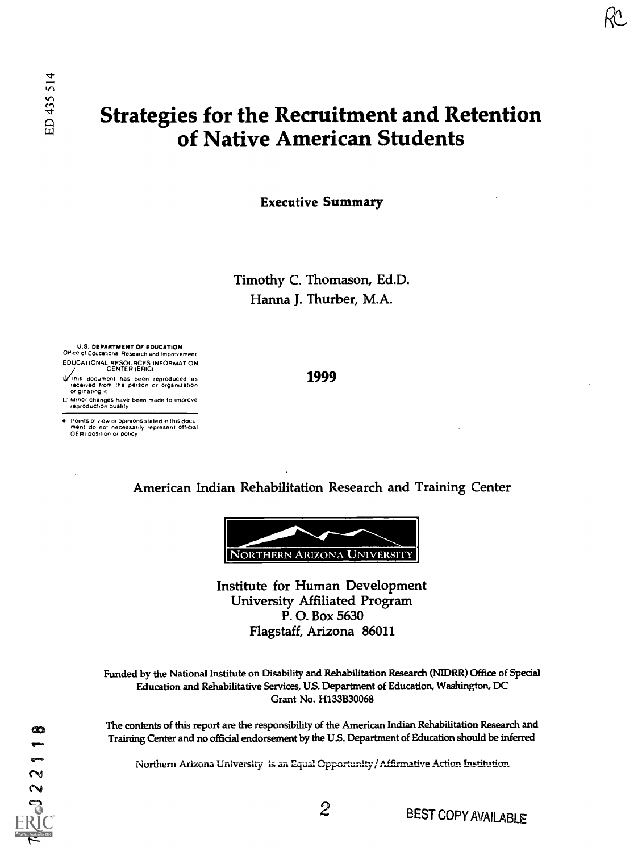# Strategies for the Recruitment and Retention of Native American Students

Executive Summary

Timothy C. Thomason, Ed.D. Hanna J. Thurber, M.A.

1999

U.S. DEPARTMENT OF EDUCATION Office of Educational Research and Improvement EDUCATIONAL RESOURCES INFORMATION CENTER (ERIC)

It his document has been reproduced as received from the Person or Organization originating it

C Minor changes have been made to improve reproduction Qualliy

e : Points of view or opinions stated in this docu-<br>- ment : do : not: necessarily -represent -official<br>- OERI position or policy

American Indian Rehabilitation Research and Training Center



Institute for Human Development University Affiliated Program P. O. Box 5630 Flagstaff, Arizona 86011

Funded by the National Institute on Disability and Rehabilitation Research (NIDRR) Office of Special Education and Rehabilitative Services, U.S. Department of Education, Washington, DC Grant No. H133B30068

The contents of this report are the responsibility of the American Indian Rehabilitation Research and Training Center and no official endorsement by the U.S. Department of Education should be inferred

Northern Arizona University is an Equal Opportunity / Affirmative Action Institution

œ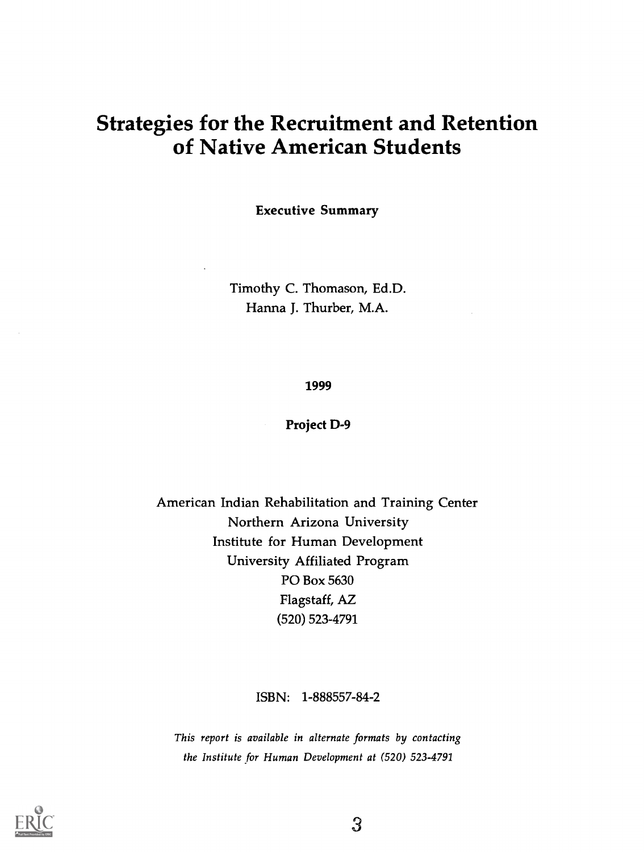## Strategies for the Recruitment and Retention of Native American Students

Executive Summary

Timothy C. Thomason, Ed.D. Hanna J. Thurber, M.A.

#### 1999

#### Project D-9

American Indian Rehabilitation and Training Center Northern Arizona University Institute for Human Development University Affiliated Program PO Box 5630 Flagstaff, AZ (520) 523-4791

ISBN: 1-888557-84-2

This report is available in alternate formats by contacting the Institute for Human Development at (520) 523-4791



 $\mathbf{3}$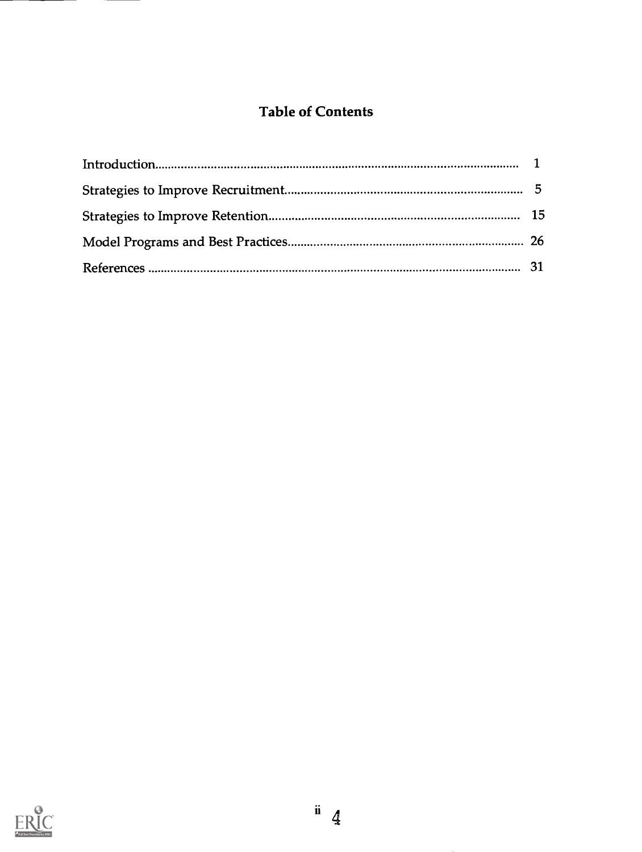## Table of Contents

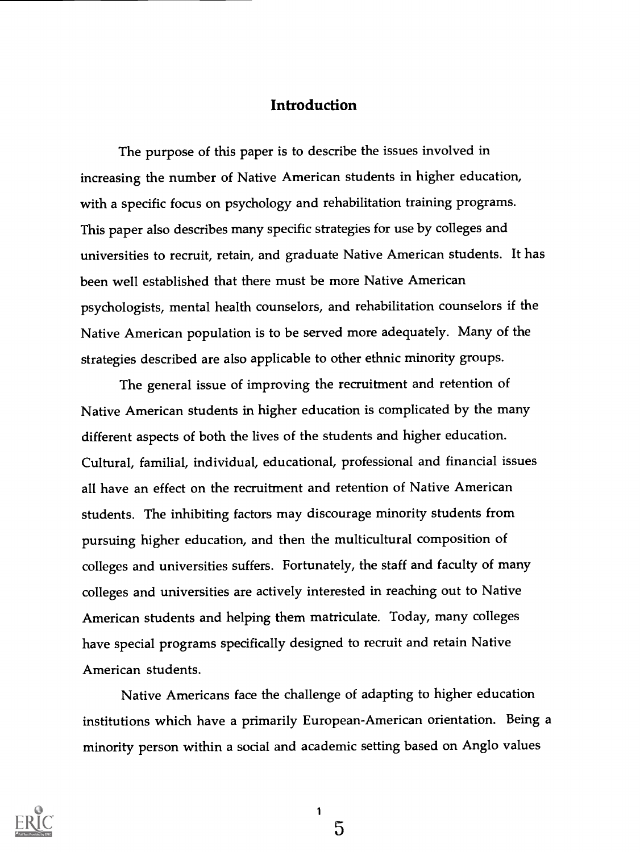### **Introduction**

The purpose of this paper is to describe the issues involved in increasing the number of Native American students in higher education, with a specific focus on psychology and rehabilitation training programs. This paper also describes many specific strategies for use by colleges and universities to recruit, retain, and graduate Native American students. It has been well established that there must be more Native American psychologists, mental health counselors, and rehabilitation counselors if the Native American population is to be served more adequately. Many of the strategies described are also applicable to other ethnic minority groups.

The general issue of improving the recruitment and retention of Native American students in higher education is complicated by the many different aspects of both the lives of the students and higher education. Cultural, familial, individual, educational, professional and financial issues all have an effect on the recruitment and retention of Native American students. The inhibiting factors may discourage minority students from pursuing higher education, and then the multicultural composition of colleges and universities suffers. Fortunately, the staff and faculty of many colleges and universities are actively interested in reaching out to Native American students and helping them matriculate. Today, many colleges have special programs specifically designed to recruit and retain Native American students.

Native Americans face the challenge of adapting to higher education institutions which have a primarily European-American orientation. Being a minority person within a social and academic setting based on Anglo values



1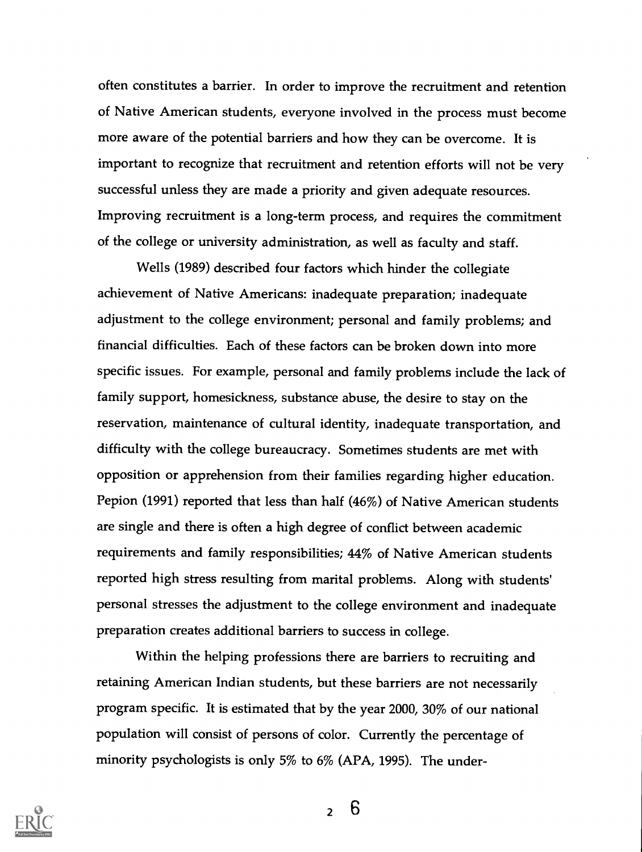often constitutes a barrier. In order to improve the recruitment and retention of Native American students, everyone involved in the process must become more aware of the potential barriers and how they can be overcome. It is important to recognize that recruitment and retention efforts will not be very successful unless they are made a priority and given adequate resources. Improving recruitment is a long-term process, and requires the commitment of the college or university administration, as well as faculty and staff.

Wells (1989) described four factors which hinder the collegiate achievement of Native Americans: inadequate preparation; inadequate adjustment to the college environment; personal and family problems; and financial difficulties. Each of these factors can be broken down into more specific issues. For example, personal and family problems include the lack of family support, homesickness, substance abuse, the desire to stay on the reservation, maintenance of cultural identity, inadequate transportation, and difficulty with the college bureaucracy. Sometimes students are met with opposition or apprehension from their families regarding higher education. Pepion (1991) reported that less than half (46%) of Native American students are single and there is often a high degree of conflict between academic requirements and family responsibilities; 44% of Native American students reported high stress resulting from marital problems. Along with students' personal stresses the adjustment to the college environment and inadequate preparation creates additional barriers to success in college.

Within the helping professions there are barriers to recruiting and retaining American Indian students, but these barriers are not necessarily program specific. It is estimated that by the year 2000, 30% of our national population will consist of persons of color. Currently the percentage of minority psychologists is only 5% to 6% (APA, 1995). The under-

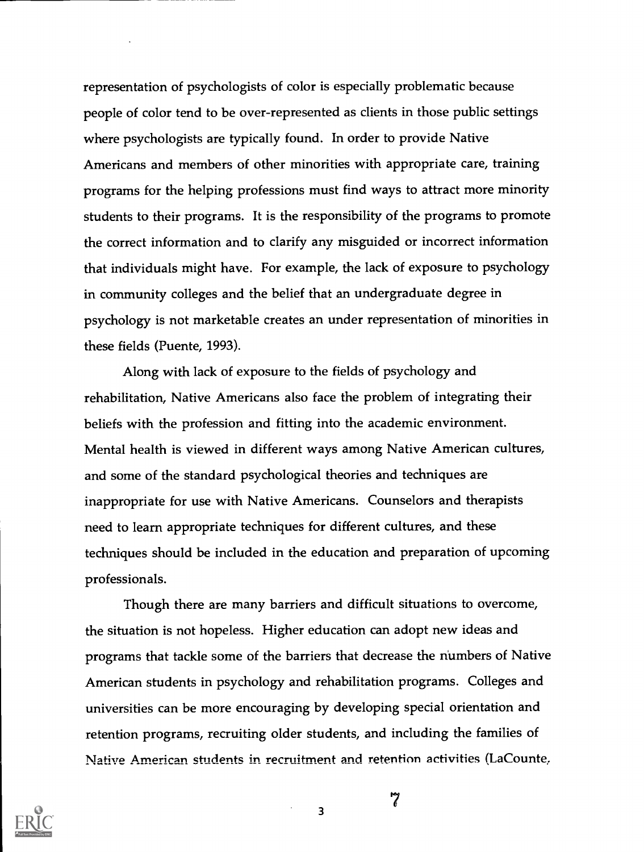representation of psychologists of color is especially problematic because people of color tend to be over-represented as clients in those public settings where psychologists are typically found. In order to provide Native Americans and members of other minorities with appropriate care, training programs for the helping professions must find ways to attract more minority students to their programs. It is the responsibility of the programs to promote the correct information and to clarify any misguided or incorrect information that individuals might have. For example, the lack of exposure to psychology in community colleges and the belief that an undergraduate degree in psychology is not marketable creates an under representation of minorities in these fields (Puente, 1993).

Along with lack of exposure to the fields of psychology and rehabilitation, Native Americans also face the problem of integrating their beliefs with the profession and fitting into the academic environment. Mental health is viewed in different ways among Native American cultures, and some of the standard psychological theories and techniques are inappropriate for use with Native Americans. Counselors and therapists need to learn appropriate techniques for different cultures, and these techniques should be included in the education and preparation of upcoming professionals.

Though there are many barriers and difficult situations to overcome, the situation is not hopeless. Higher education can adopt new ideas and programs that tackle some of the barriers that decrease the numbers of Native American students in psychology and rehabilitation programs. Colleges and universities can be more encouraging by developing special orientation and retention programs, recruiting older students, and including the families of Native American students in recruitment and retention activities (LaCounte;



مو<br>*1*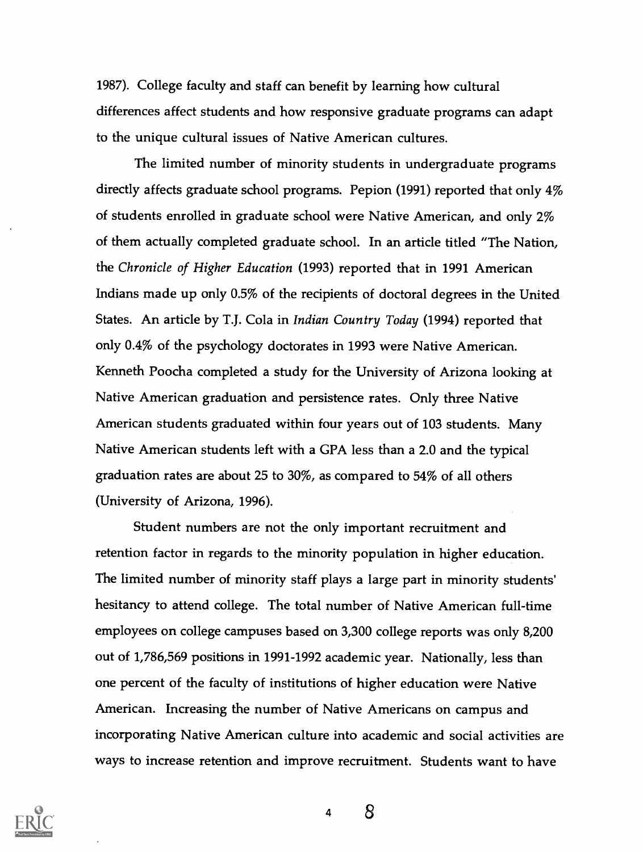1987). College faculty and staff can benefit by learning how cultural differences affect students and how responsive graduate programs can adapt to the unique cultural issues of Native American cultures.

The limited number of minority students in undergraduate programs directly affects graduate school programs. Pepion (1991) reported that only 4% of students enrolled in graduate school were Native American, and only 2% of them actually completed graduate school. In an article titled "The Nation, the Chronicle of Higher Education (1993) reported that in 1991 American Indians made up only 0.5% of the recipients of doctoral degrees in the United States. An article by T.J. Cola in Indian Country Today (1994) reported that only 0.4% of the psychology doctorates in 1993 were Native American. Kenneth Poocha completed a study for the University of Arizona looking at Native American graduation and persistence rates. Only three Native American students graduated within four years out of 103 students. Many Native American students left with a GPA less than a 2.0 and the typical graduation rates are about 25 to 30%, as compared to 54% of all others (University of Arizona, 1996).

Student numbers are not the only important recruitment and retention factor in regards to the minority population in higher education. The limited number of minority staff plays a large part in minority students' hesitancy to attend college. The total number of Native American full-time employees on college campuses based on 3,300 college reports was only 8,200 out of 1,786,569 positions in 1991-1992 academic year. Nationally, less than one percent of the faculty of institutions of higher education were Native American. Increasing the number of Native Americans on campus and incorporating Native American culture into academic and social activities are ways to increase retention and improve recruitment. Students want to have



4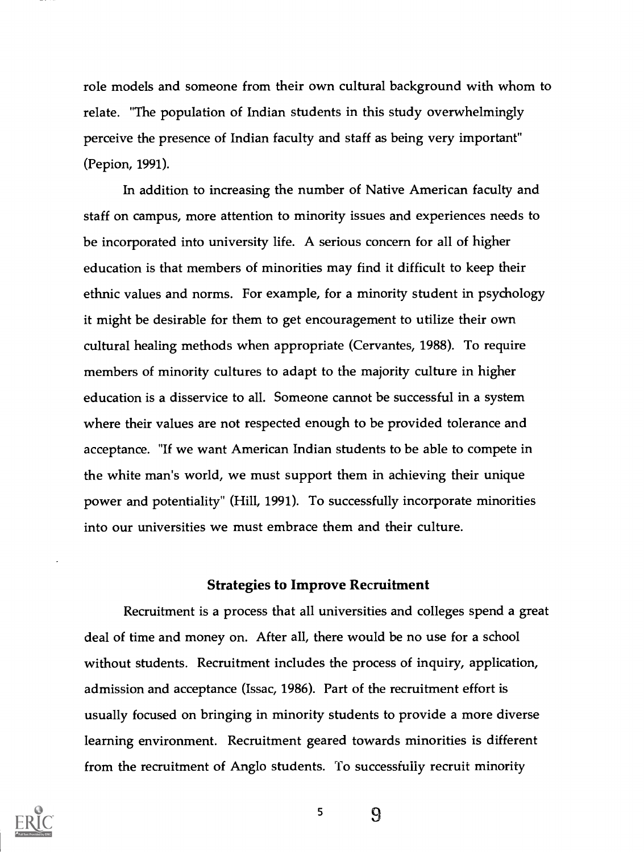role models and someone from their own cultural background with whom to relate. "The population of Indian students in this study overwhelmingly perceive the presence of Indian faculty and staff as being very important" (Pepion, 1991).

In addition to increasing the number of Native American faculty and staff on campus, more attention to minority issues and experiences needs to be incorporated into university life. A serious concern for all of higher education is that members of minorities may find it difficult to keep their ethnic values and norms. For example, for a minority student in psychology it might be desirable for them to get encouragement to utilize their own cultural healing methods when appropriate (Cervantes, 1988). To require members of minority cultures to adapt to the majority culture in higher education is a disservice to all. Someone cannot be successful in a system where their values are not respected enough to be provided tolerance and acceptance. "If we want American Indian students to be able to compete in the white man's world, we must support them in achieving their unique power and potentiality" (Hill, 1991). To successfully incorporate minorities into our universities we must embrace them and their culture.

#### Strategies to Improve Recruitment

Recruitment is a process that all universities and colleges spend a great deal of time and money on. After all, there would be no use for a school without students. Recruitment includes the process of inquiry, application, admission and acceptance (Issac, 1986). Part of the recruitment effort is usually focused on bringing in minority students to provide a more diverse learning environment. Recruitment geared towards minorities is different from the recruitment of Anglo students. To successfully recruit minority



9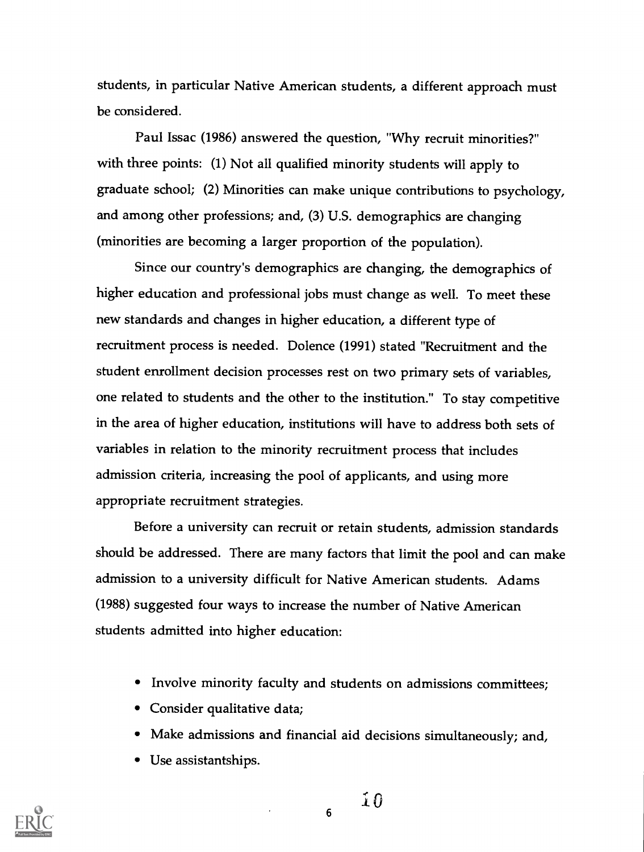students, in particular Native American students, a different approach must be considered.

Paul Issac (1986) answered the question, "Why recruit minorities?" with three points: (1) Not all qualified minority students will apply to graduate school; (2) Minorities can make unique contributions to psychology, and among other professions; and, (3) U.S. demographics are changing (minorities are becoming a larger proportion of the population).

Since our country's demographics are changing, the demographics of higher education and professional jobs must change as well. To meet these new standards and changes in higher education, a different type of recruitment process is needed. Dolence (1991) stated "Recruitment and the student enrollment decision processes rest on two primary sets of variables, one related to students and the other to the institution." To stay competitive in the area of higher education, institutions will have to address both sets of variables in relation to the minority recruitment process that includes admission criteria, increasing the pool of applicants, and using more appropriate recruitment strategies.

Before a university can recruit or retain students, admission standards should be addressed. There are many factors that limit the pool and can make admission to a university difficult for Native American students. Adams (1988) suggested four ways to increase the number of Native American students admitted into higher education:

- Involve minority faculty and students on admissions committees;
- Consider qualitative data;
- Make admissions and financial aid decisions simultaneously; and,

6

Use assistantships.

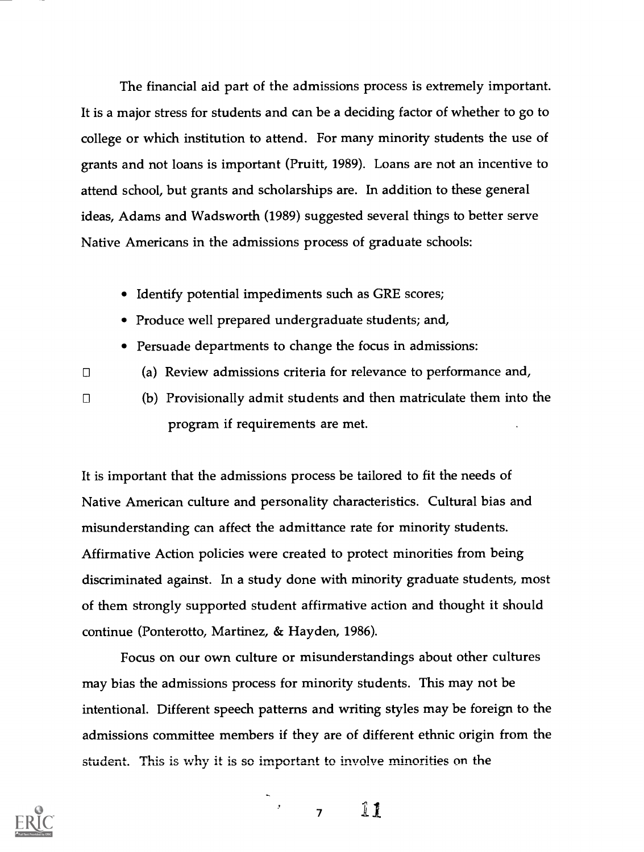The financial aid part of the admissions process is extremely important. It is a major stress for students and can be a deciding factor of whether to go to college or which institution to attend. For many minority students the use of grants and not loans is important (Pruitt, 1989). Loans are not an incentive to attend school, but grants and scholarships are. In addition to these general ideas, Adams and Wadsworth (1989) suggested several things to better serve Native Americans in the admissions process of graduate schools:

- Identify potential impediments such as GRE scores;
- Produce well prepared undergraduate students; and,
- Persuade departments to change the focus in admissions:

 $\Box$ 

 $\Box$ 

- (a) Review admissions criteria for relevance to performance and,
- (b) Provisionally admit students and then matriculate them into the program if requirements are met.

It is important that the admissions process be tailored to fit the needs of Native American culture and personality characteristics. Cultural bias and misunderstanding can affect the admittance rate for minority students. Affirmative Action policies were created to protect minorities from being discriminated against. In a study done with minority graduate students, most of them strongly supported student affirmative action and thought it should continue (Ponterotto, Martinez, & Hayden, 1986).

Focus on our own culture or misunderstandings about other cultures may bias the admissions process for minority students. This may not be intentional. Different speech patterns and writing styles may be foreign to the admissions committee members if they are of different ethnic origin from the student. This is why it is so important to involve minorities on the



<sup>7</sup> 1.1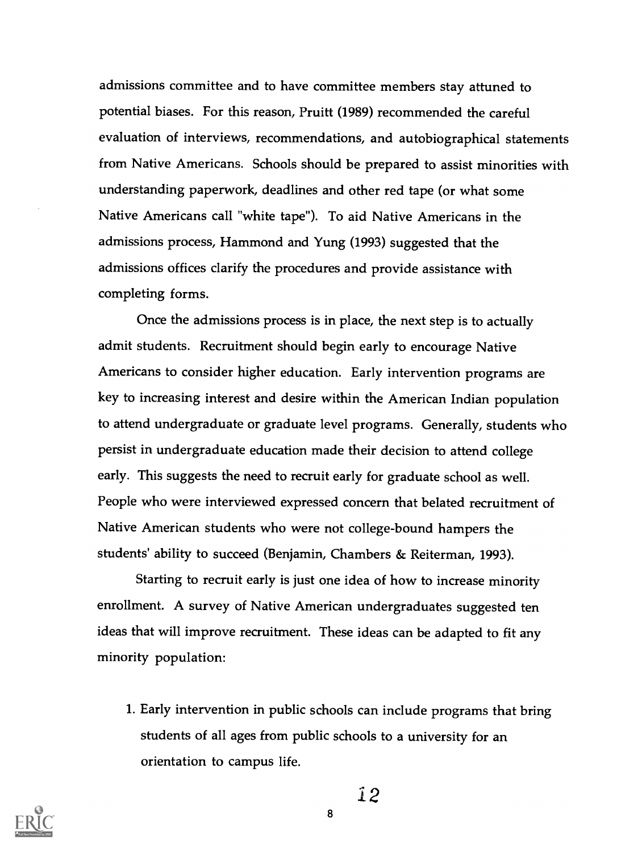admissions committee and to have committee members stay attuned to potential biases. For this reason, Pruitt (1989) recommended the careful evaluation of interviews, recommendations, and autobiographical statements from Native Americans. Schools should be prepared to assist minorities with understanding paperwork, deadlines and other red tape (or what some Native Americans call "white tape"). To aid Native Americans in the admissions process, Hammond and Yung (1993) suggested that the admissions offices clarify the procedures and provide assistance with completing forms.

Once the admissions process is in place, the next step is to actually admit students. Recruitment should begin early to encourage Native Americans to consider higher education. Early intervention programs are key to increasing interest and desire within the American Indian population to attend undergraduate or graduate level programs. Generally, students who persist in undergraduate education made their decision to attend college early. This suggests the need to recruit early for graduate school as well. People who were interviewed expressed concern that belated recruitment of Native American students who were not college-bound hampers the students' ability to succeed (Benjamin, Chambers & Reiterman, 1993).

Starting to recruit early is just one idea of how to increase minority enrollment. A survey of Native American undergraduates suggested ten ideas that will improve recruitment. These ideas can be adapted to fit any minority population:

1. Early intervention in public schools can include programs that bring students of all ages from public schools to a university for an orientation to campus life.



12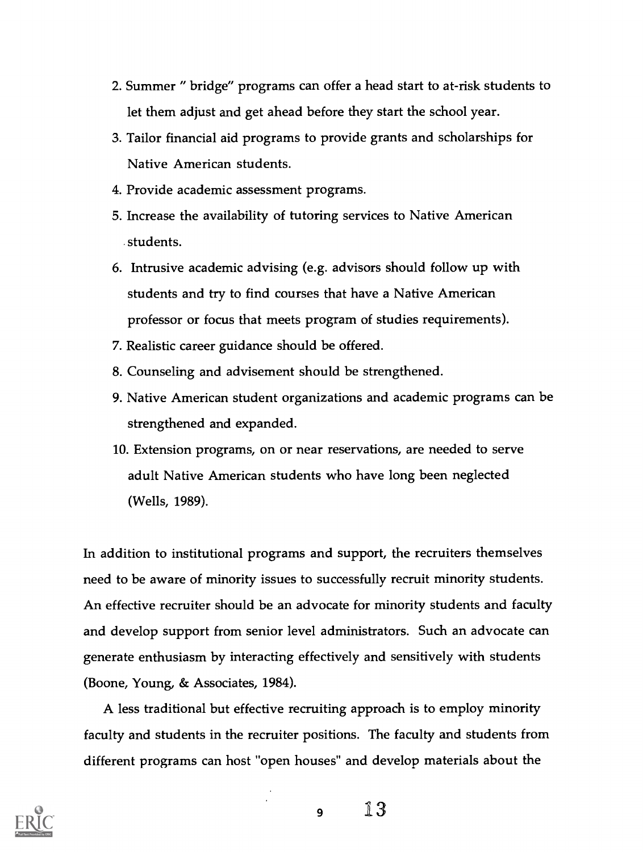- 2. Summer " bridge" programs can offer a head start to at-risk students to let them adjust and get ahead before they start the school year.
- 3. Tailor financial aid programs to provide grants and scholarships for Native American students.
- 4. Provide academic assessment programs.
- 5. Increase the availability of tutoring services to Native American students.
- 6. Intrusive academic advising (e.g. advisors should follow up with students and try to find courses that have a Native American professor or focus that meets program of studies requirements).
- 7. Realistic career guidance should be offered.
- 8. Counseling and advisement should be strengthened.
- 9. Native American student organizations and academic programs can be strengthened and expanded.
- 10. Extension programs, on or near reservations, are needed to serve adult Native American students who have long been neglected (Wells, 1989).

In addition to institutional programs and support, the recruiters themselves need to be aware of minority issues to successfully recruit minority students. An effective recruiter should be an advocate for minority students and faculty and develop support from senior level administrators. Such an advocate can generate enthusiasm by interacting effectively and sensitively with students (Boone, Young, & Associates, 1984).

A less traditional but effective recruiting approach is to employ minority faculty and students in the recruiter positions. The faculty and students from different programs can host "open houses" and develop materials about the

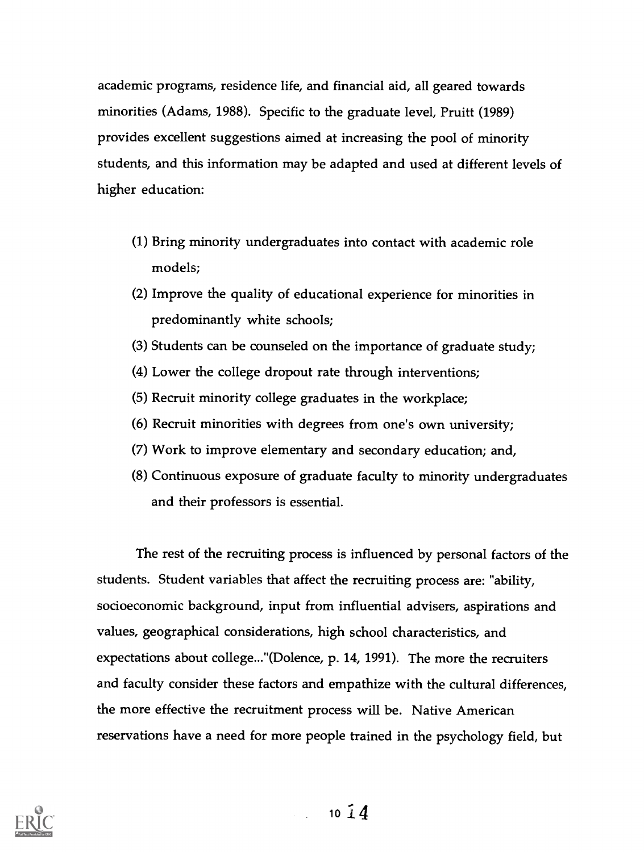academic programs, residence life, and financial aid, all geared towards minorities (Adams, 1988). Specific to the graduate level, Pruitt (1989) provides excellent suggestions aimed at increasing the pool of minority students, and this information may be adapted and used at different levels of higher education:

- (1) Bring minority undergraduates into contact with academic role models;
- (2) Improve the quality of educational experience for minorities in predominantly white schools;
- (3) Students can be counseled on the importance of graduate study;
- (4) Lower the college dropout rate through interventions;
- (5) Recruit minority college graduates in the workplace;
- (6) Recruit minorities with degrees from one's own university;
- (7) Work to improve elementary and secondary education; and,
- (8) Continuous exposure of graduate faculty to minority undergraduates and their professors is essential.

The rest of the recruiting process is influenced by personal factors of the students. Student variables that affect the recruiting process are: "ability, socioeconomic background, input from influential advisers, aspirations and values, geographical considerations, high school characteristics, and expectations about college..."(Dolence, p. 14, 1991). The more the recruiters and faculty consider these factors and empathize with the cultural differences, the more effective the recruitment process will be. Native American reservations have a need for more people trained in the psychology field, but

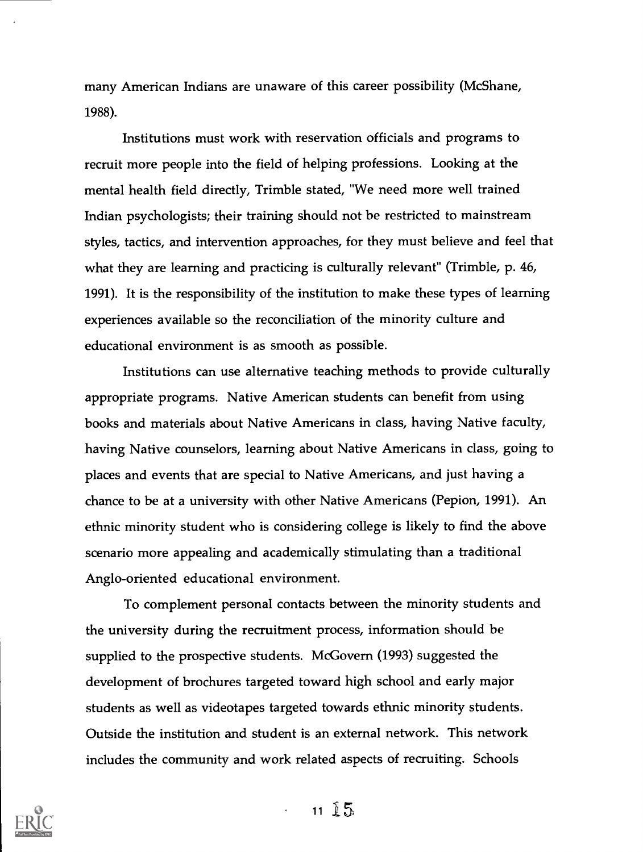many American Indians are unaware of this career possibility (McShane, 1988).

Institutions must work with reservation officials and programs to recruit more people into the field of helping professions. Looking at the mental health field directly, Trimble stated, "We need more well trained Indian psychologists; their training should not be restricted to mainstream styles, tactics, and intervention approaches, for they must believe and feel that what they are learning and practicing is culturally relevant" (Trimble, p. 46, 1991). It is the responsibility of the institution to make these types of learning experiences available so the reconciliation of the minority culture and educational environment is as smooth as possible.

Institutions can use alternative teaching methods to provide culturally appropriate programs. Native American students can benefit from using books and materials about Native Americans in class, having Native faculty, having Native counselors, learning about Native Americans in class, going to places and events that are special to Native Americans, and just having a chance to be at a university with other Native Americans (Pepion, 1991). An ethnic minority student who is considering college is likely to find the above scenario more appealing and academically stimulating than a traditional Anglo-oriented educational environment.

To complement personal contacts between the minority students and the university during the recruitment process, information should be supplied to the prospective students. McGovern (1993) suggested the development of brochures targeted toward high school and early major students as well as videotapes targeted towards ethnic minority students. Outside the institution and student is an external network. This network includes the community and work related aspects of recruiting. Schools



 $11 \t{5}$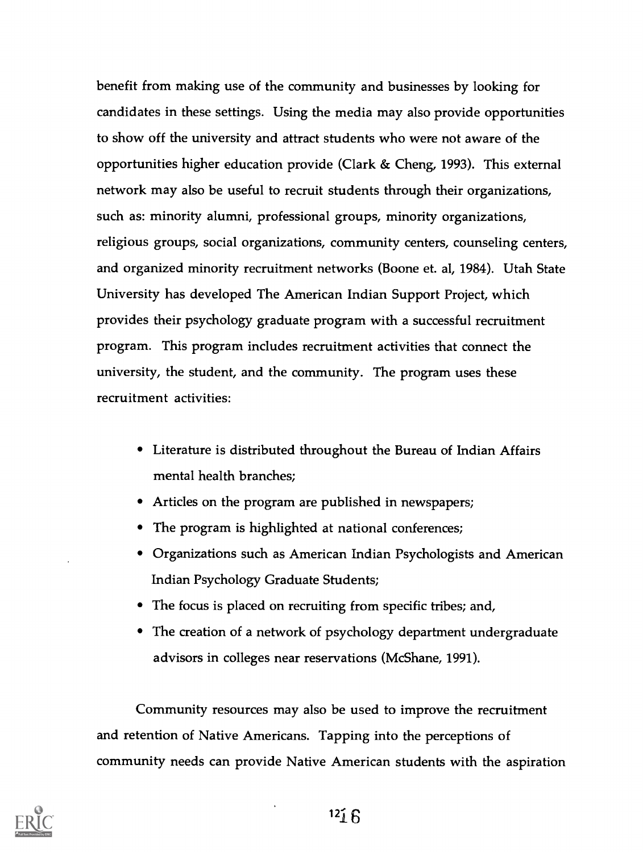benefit from making use of the community and businesses by looking for candidates in these settings. Using the media may also provide opportunities to show off the university and attract students who were not aware of the opportunities higher education provide (Clark & Cheng, 1993). This external network may also be useful to recruit students through their organizations, such as: minority alumni, professional groups, minority organizations, religious groups, social organizations, community centers, counseling centers, and organized minority recruitment networks (Boone et. al, 1984). Utah State University has developed The American Indian Support Project, which provides their psychology graduate program with a successful recruitment program. This program includes recruitment activities that connect the university, the student, and the community. The program uses these recruitment activities:

- Literature is distributed throughout the Bureau of Indian Affairs mental health branches;
- Articles on the program are published in newspapers;
- The program is highlighted at national conferences;
- Organizations such as American Indian Psychologists and American Indian Psychology Graduate Students;
- The focus is placed on recruiting from specific tribes; and,
- The creation of a network of psychology department undergraduate advisors in colleges near reservations (McShane, 1991).

Community resources may also be used to improve the recruitment and retention of Native Americans. Tapping into the perceptions of community needs can provide Native American students with the aspiration

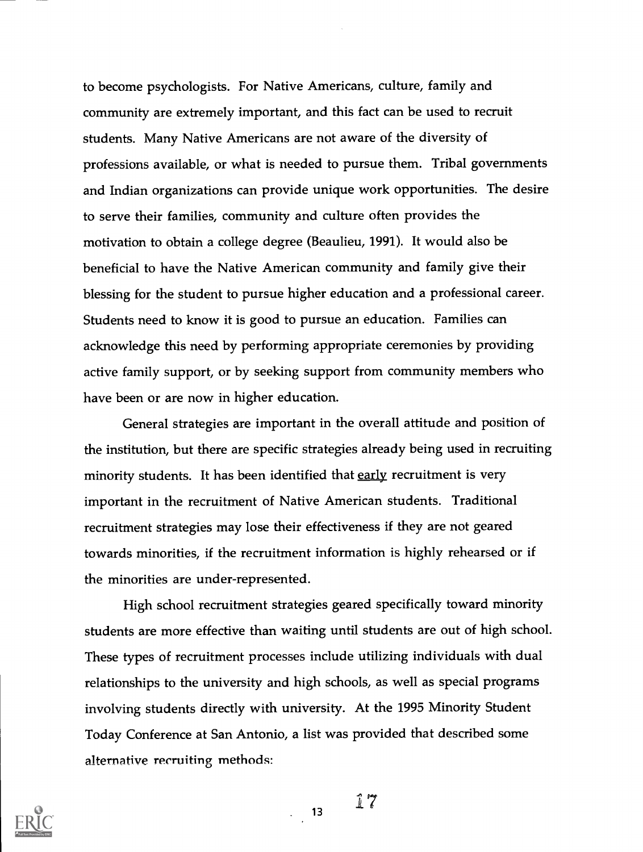to become psychologists. For Native Americans, culture, family and community are extremely important, and this fact can be used to recruit students. Many Native Americans are not aware of the diversity of professions available, or what is needed to pursue them. Tribal governments and Indian organizations can provide unique work opportunities. The desire to serve their families, community and culture often provides the motivation to obtain a college degree (Beaulieu, 1991). It would also be beneficial to have the Native American community and family give their blessing for the student to pursue higher education and a professional career. Students need to know it is good to pursue an education. Families can acknowledge this need by performing appropriate ceremonies by providing active family support, or by seeking support from community members who have been or are now in higher education.

General strategies are important in the overall attitude and position of the institution, but there are specific strategies already being used in recruiting minority students. It has been identified that early recruitment is very important in the recruitment of Native American students. Traditional recruitment strategies may lose their effectiveness if they are not geared towards minorities, if the recruitment information is highly rehearsed or if the minorities are under-represented.

High school recruitment strategies geared specifically toward minority students are more effective than waiting until students are out of high school. These types of recruitment processes include utilizing individuals with dual relationships to the university and high schools, as well as special programs involving students directly with university. At the 1995 Minority Student Today Conference at San Antonio, a list was provided that described some alternative recruiting methods:

 $\frac{1}{2}$  13

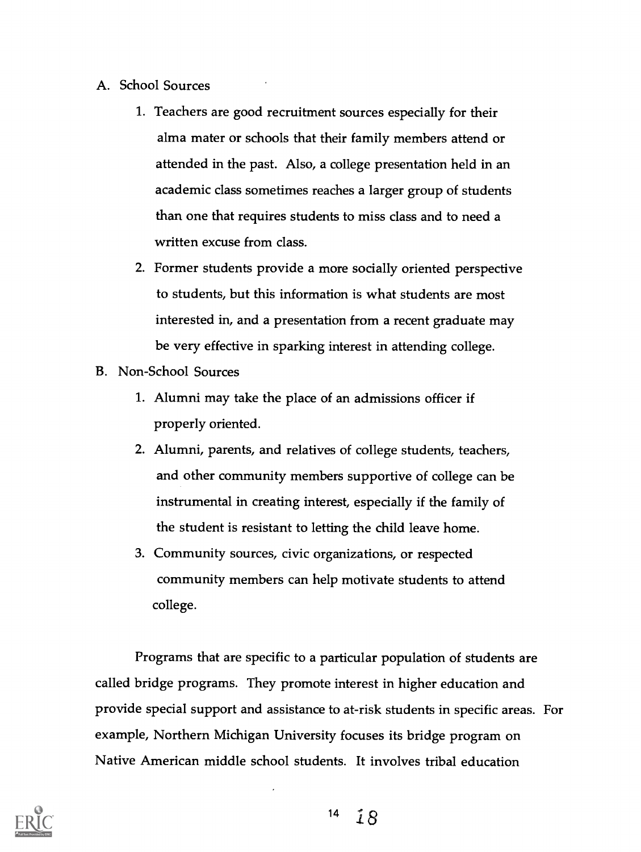- A. School Sources
	- 1. Teachers are good recruitment sources especially for their alma mater or schools that their family members attend or attended in the past. Also, a college presentation held in an academic class sometimes reaches a larger group of students than one that requires students to miss class and to need a written excuse from class.
	- 2. Former students provide a more socially oriented perspective to students, but this information is what students are most interested in, and a presentation from a recent graduate may be very effective in sparking interest in attending college.
- B. Non-School Sources
	- 1. Alumni may take the place of an admissions officer if properly oriented.
	- 2. Alumni, parents, and relatives of college students, teachers, and other community members supportive of college can be instrumental in creating interest, especially if the family of the student is resistant to letting the child leave home.
	- 3. Community sources, civic organizations, or respected community members can help motivate students to attend college.

Programs that are specific to a particular population of students are called bridge programs. They promote interest in higher education and provide special support and assistance to at-risk students in specific areas. For example, Northern Michigan University focuses its bridge program on Native American middle school students. It involves tribal education

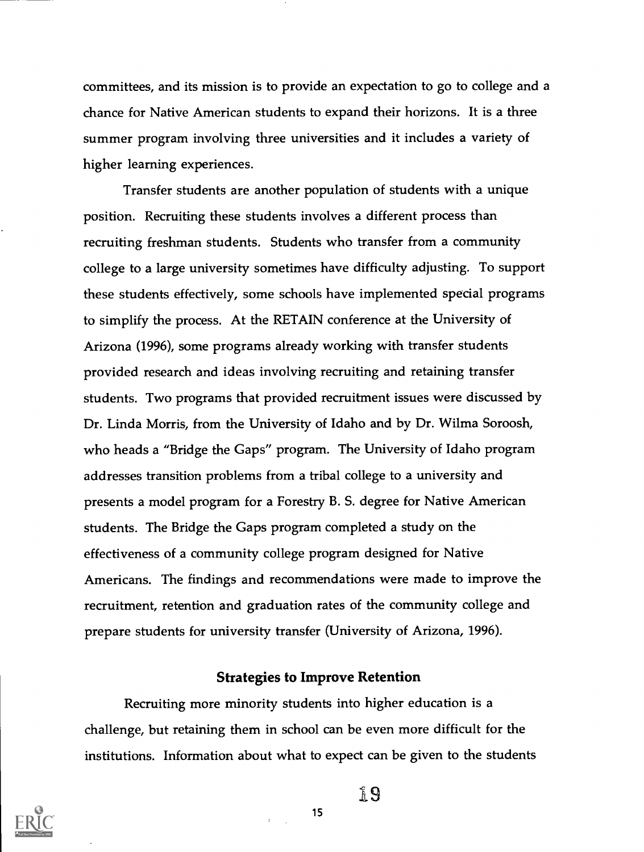committees, and its mission is to provide an expectation to go to college and a chance for Native American students to expand their horizons. It is a three summer program involving three universities and it includes a variety of higher learning experiences.

Transfer students are another population of students with a unique position. Recruiting these students involves a different process than recruiting freshman students. Students who transfer from a community college to a large university sometimes have difficulty adjusting. To support these students effectively, some schools have implemented special programs to simplify the process. At the RETAIN conference at the University of Arizona (1996), some programs already working with transfer students provided research and ideas involving recruiting and retaining transfer students. Two programs that provided recruitment issues were discussed by Dr. Linda Morris, from the University of Idaho and by Dr. Wilma Soroosh, who heads a "Bridge the Gaps" program. The University of Idaho program addresses transition problems from a tribal college to a university and presents a model program for a Forestry B. S. degree for Native American students. The Bridge the Gaps program completed a study on the effectiveness of a community college program designed for Native Americans. The findings and recommendations were made to improve the recruitment, retention and graduation rates of the community college and prepare students for university transfer (University of Arizona, 1996).

#### Strategies to Improve Retention

Recruiting more minority students into higher education is a challenge, but retaining them in school can be even more difficult for the institutions. Information about what to expect can be given to the students



19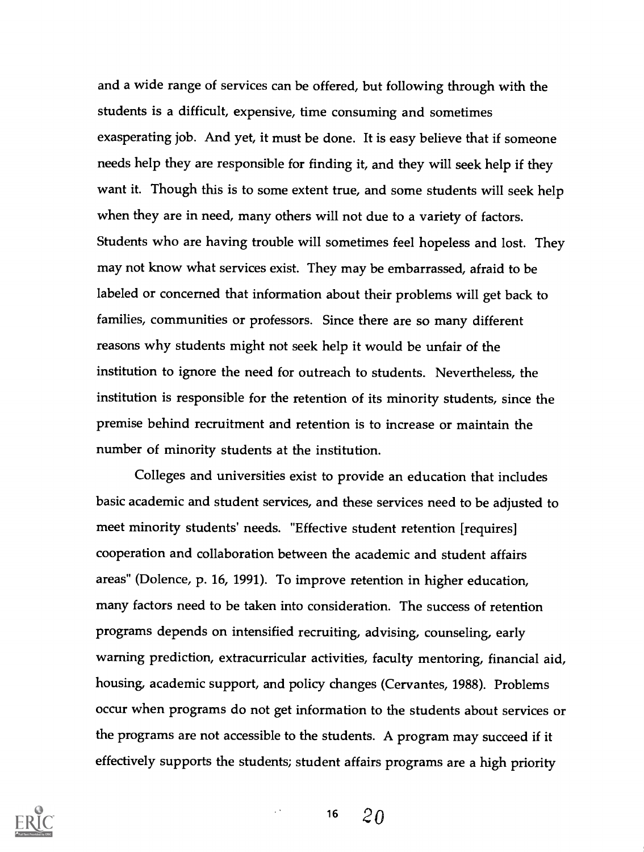and a wide range of services can be offered, but following through with the students is a difficult, expensive, time consuming and sometimes exasperating job. And yet, it must be done. It is easy believe that if someone needs help they are responsible for finding it, and they will seek help if they want it. Though this is to some extent true, and some students will seek help when they are in need, many others will not due to a variety of factors. Students who are having trouble will sometimes feel hopeless and lost. They may not know what services exist. They may be embarrassed, afraid to be labeled or concerned that information about their problems will get back to families, communities or professors. Since there are so many different reasons why students might not seek help it would be unfair of the institution to ignore the need for outreach to students. Nevertheless, the institution is responsible for the retention of its minority students, since the premise behind recruitment and retention is to increase or maintain the number of minority students at the institution.

Colleges and universities exist to provide an education that includes basic academic and student services, and these services need to be adjusted to meet minority students' needs. "Effective student retention [requires] cooperation and collaboration between the academic and student affairs areas" (Dolence, p. 16, 1991). To improve retention in higher education, many factors need to be taken into consideration. The success of retention programs depends on intensified recruiting, advising, counseling, early warning prediction, extracurricular activities, faculty mentoring, financial aid, housing, academic support, and policy changes (Cervantes, 1988). Problems occur when programs do not get information to the students about services or the programs are not accessible to the students. A program may succeed if it effectively supports the students; student affairs programs are a high priority

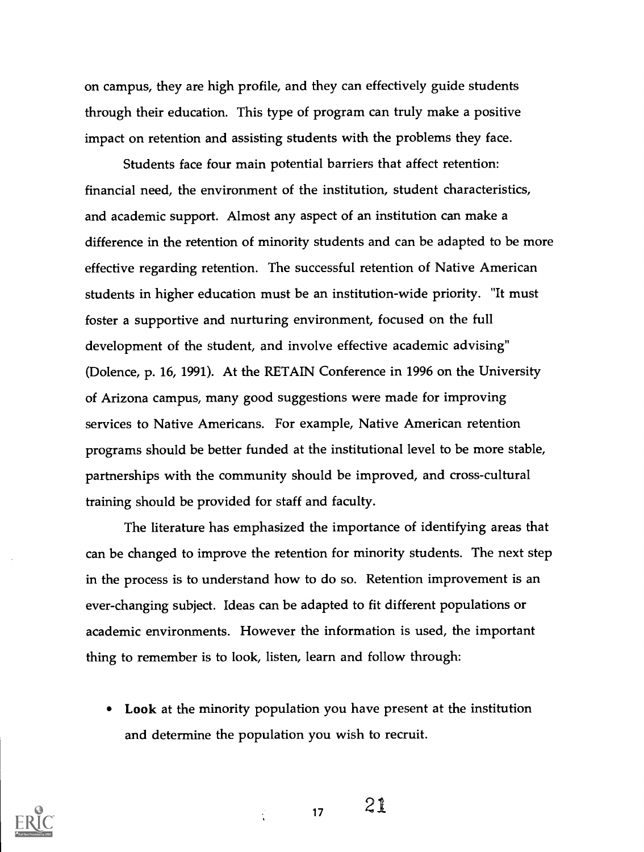on campus, they are high profile, and they can effectively guide students through their education. This type of program can truly make a positive impact on retention and assisting students with the problems they face.

Students face four main potential barriers that affect retention: financial need, the environment of the institution, student characteristics, and academic support. Almost any aspect of an institution can make a difference in the retention of minority students and can be adapted to be more effective regarding retention. The successful retention of Native American students in higher education must be an institution-wide priority. "It must foster a supportive and nurturing environment, focused on the full development of the student, and involve effective academic advising" (Dolence, p. 16, 1991). At the RETAIN Conference in 1996 on the University of Arizona campus, many good suggestions were made for improving services to Native Americans. For example, Native American retention programs should be better funded at the institutional level to be more stable, partnerships with the community should be improved, and cross-cultural training should be provided for staff and faculty.

The literature has emphasized the importance of identifying areas that can be changed to improve the retention for minority students. The next step in the process is to understand how to do so. Retention improvement is an ever-changing subject. Ideas can be adapted to fit different populations or academic environments. However the information is used, the important thing to remember is to look, listen, learn and follow through:

Look at the minority population you have present at the institution and determine the population you wish to recruit.



 $17 \t21$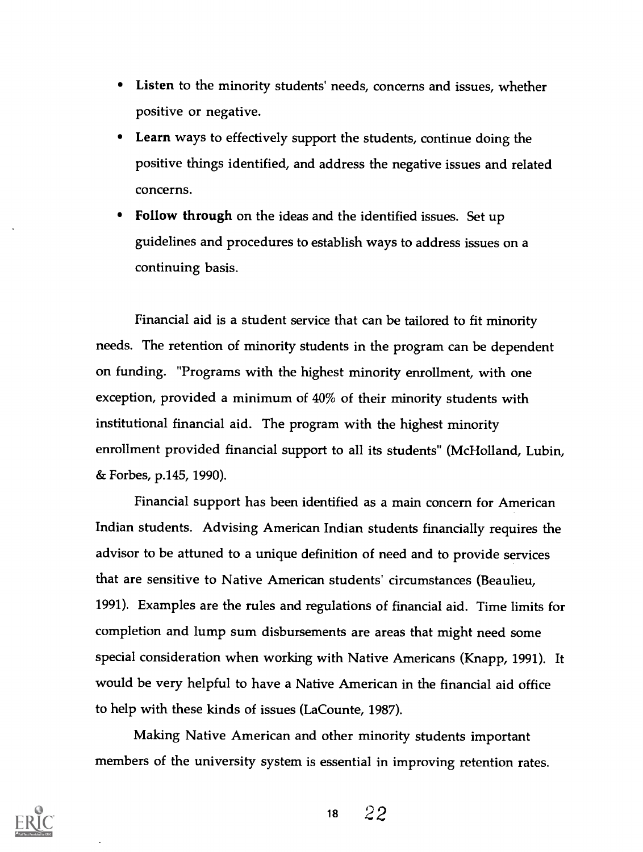- Listen to the minority students' needs, concerns and issues, whether positive or negative.
- Learn ways to effectively support the students, continue doing the positive things identified, and address the negative issues and related concerns.
- Follow through on the ideas and the identified issues. Set up guidelines and procedures to establish ways to address issues on a continuing basis.

Financial aid is a student service that can be tailored to fit minority needs. The retention of minority students in the program can be dependent on funding. "Programs with the highest minority enrollment, with one exception, provided a minimum of 40% of their minority students with institutional financial aid. The program with the highest minority enrollment provided financial support to all its students" (McHolland, Lubin, & Forbes, p.145, 1990).

Financial support has been identified as a main concern for American Indian students. Advising American Indian students financially requires the advisor to be attuned to a unique definition of need and to provide services that are sensitive to Native American students' circumstances (Beaulieu, 1991). Examples are the rules and regulations of financial aid. Time limits for completion and lump sum disbursements are areas that might need some special consideration when working with Native Americans (Knapp, 1991). It would be very helpful to have a Native American in the financial aid office to help with these kinds of issues (LaCounte, 1987).

Making Native American and other minority students important members of the university system is essential in improving retention rates.

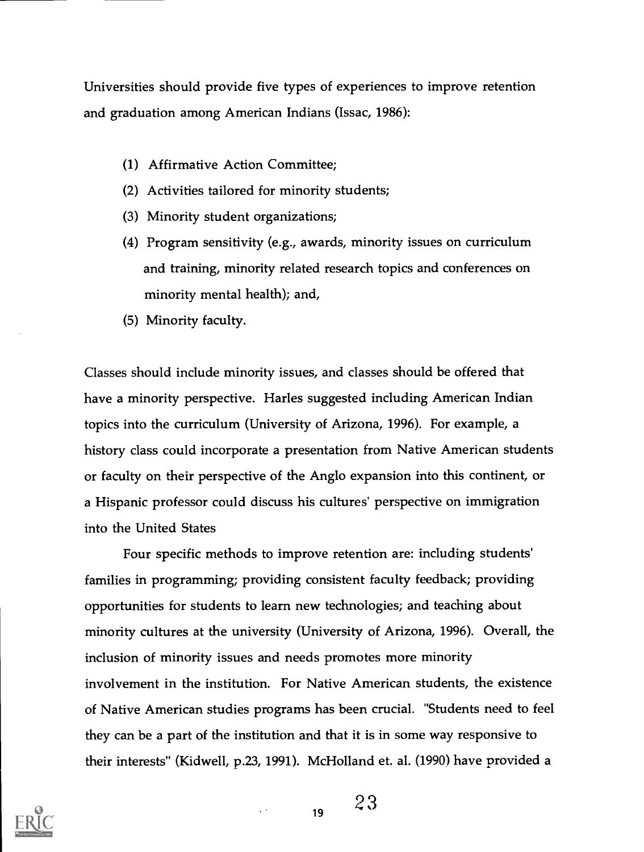Universities should provide five types of experiences to improve retention and graduation among American Indians (Issac, 1986):

- (1) Affirmative Action Committee;
- (2) Activities tailored for minority students;
- (3) Minority student organizations;
- (4) Program sensitivity (e.g., awards, minority issues on curriculum and training, minority related research topics and conferences on minority mental health); and,
- (5) Minority faculty.

Classes should include minority issues, and classes should be offered that have a minority perspective. Harles suggested including American Indian topics into the curriculum (University of Arizona, 1996). For example, a history class could incorporate a presentation from Native American students or faculty on their perspective of the Anglo expansion into this continent, or a Hispanic professor could discuss his cultures' perspective on immigration into the United States

Four specific methods to improve retention are: including students' families in programming; providing consistent faculty feedback; providing opportunities for students to learn new technologies; and teaching about minority cultures at the university (University of Arizona, 1996). Overall, the inclusion of minority issues and needs promotes more minority involvement in the institution. For Native American students, the existence of Native American studies programs has been crucial. "Students need to feel they can be a part of the institution and that it is in some way responsive to their interests" (Kidwell, p.23, 1991). Mc Holland et. al. (1990) have provided a



 $19 \t 23$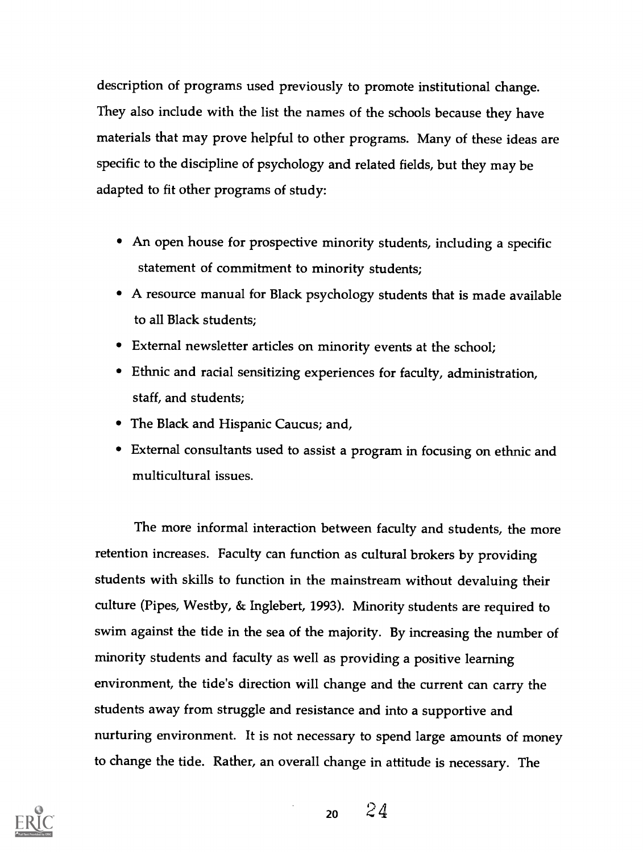description of programs used previously to promote institutional change. They also include with the list the names of the schools because they have materials that may prove helpful to other programs. Many of these ideas are specific to the discipline of psychology and related fields, but they may be adapted to fit other programs of study:

- An open house for prospective minority students, including a specific statement of commitment to minority students;
- A resource manual for Black psychology students that is made available to all Black students;
- External newsletter articles on minority events at the school;
- Ethnic and racial sensitizing experiences for faculty, administration, staff, and students;
- The Black and Hispanic Caucus; and,
- External consultants used to assist a program in focusing on ethnic and multicultural issues.

The more informal interaction between faculty and students, the more retention increases. Faculty can function as cultural brokers by providing students with skills to function in the mainstream without devaluing their culture (Pipes, Westby, & Inglebert, 1993). Minority students are required to swim against the tide in the sea of the majority. By increasing the number of minority students and faculty as well as providing a positive learning environment, the tide's direction will change and the current can carry the students away from struggle and resistance and into a supportive and nurturing environment. It is not necessary to spend large amounts of money to change the tide. Rather, an overall change in attitude is necessary. The



 $20 \t24$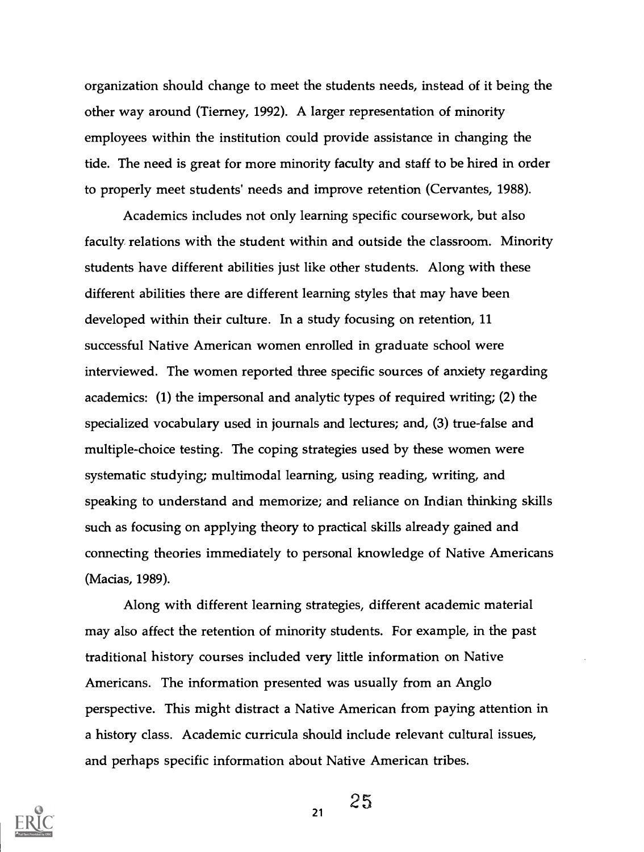organization should change to meet the students needs, instead of it being the other way around (Tierney, 1992). A larger representation of minority employees within the institution could provide assistance in changing the tide. The need is great for more minority faculty and staff to be hired in order to properly meet students' needs and improve retention (Cervantes, 1988).

Academics includes not only learning specific coursework, but also faculty relations with the student within and outside the classroom. Minority students have different abilities just like other students. Along with these different abilities there are different learning styles that may have been developed within their culture. In a study focusing on retention, 11 successful Native American women enrolled in graduate school were interviewed. The women reported three specific sources of anxiety regarding academics: (1) the impersonal and analytic types of required writing; (2) the specialized vocabulary used in journals and lectures; and, (3) true-false and multiple-choice testing. The coping strategies used by these women were systematic studying; multimodal learning, using reading, writing, and speaking to understand and memorize; and reliance on Indian thinking skills such as focusing on applying theory to practical skills already gained and connecting theories immediately to personal knowledge of Native Americans (Macias, 1989).

Along with different learning strategies, different academic material may also affect the retention of minority students. For example, in the past traditional history courses included very little information on Native Americans. The information presented was usually from an Anglo perspective. This might distract a Native American from paying attention in a history class. Academic curricula should include relevant cultural issues, and perhaps specific information about Native American tribes.



25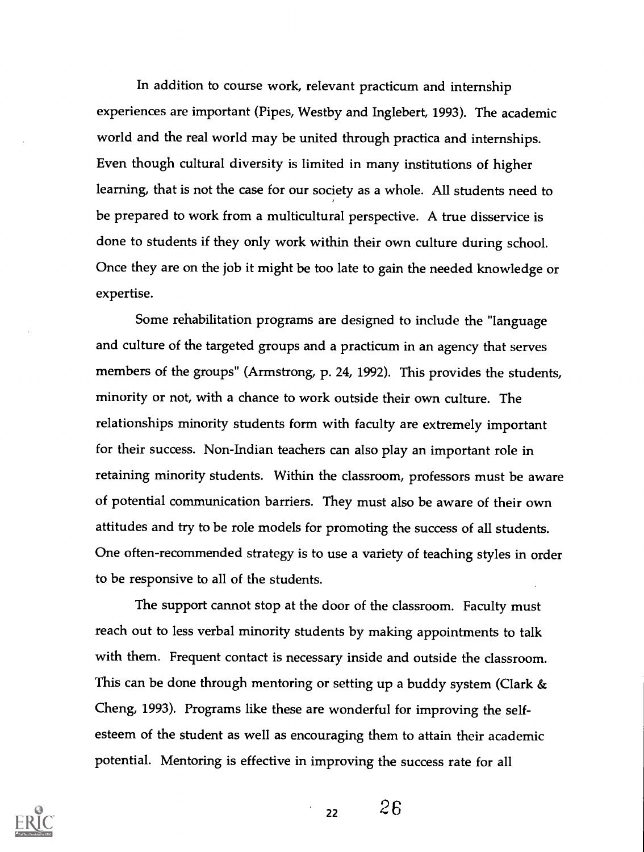In addition to course work, relevant practicum and internship experiences are important (Pipes, Westby and Inglebert, 1993). The academic world and the real world may be united through practica and internships. Even though cultural diversity is limited in many institutions of higher learning, that is not the case for our society as a whole. All students need to be prepared to work from a multicultural perspective. A true disservice is done to students if they only work within their own culture during school. Once they are on the job it might be too late to gain the needed knowledge or expertise.

Some rehabilitation programs are designed to include the "language and culture of the targeted groups and a practicum in an agency that serves members of the groups" (Armstrong, p. 24, 1992). This provides the students, minority or not, with a chance to work outside their own culture. The relationships minority students form with faculty are extremely important for their success. Non-Indian teachers can also play an important role in retaining minority students. Within the classroom, professors must be aware of potential communication barriers. They must also be aware of their own attitudes and try to be role models for promoting the success of all students. One often-recommended strategy is to use a variety of teaching styles in order to be responsive to all of the students.

The support cannot stop at the door of the classroom. Faculty must reach out to less verbal minority students by making appointments to talk with them. Frequent contact is necessary inside and outside the classroom. This can be done through mentoring or setting up a buddy system (Clark & Cheng, 1993). Programs like these are wonderful for improving the selfesteem of the student as well as encouraging them to attain their academic potential. Mentoring is effective in improving the success rate for all



 $22 \t26$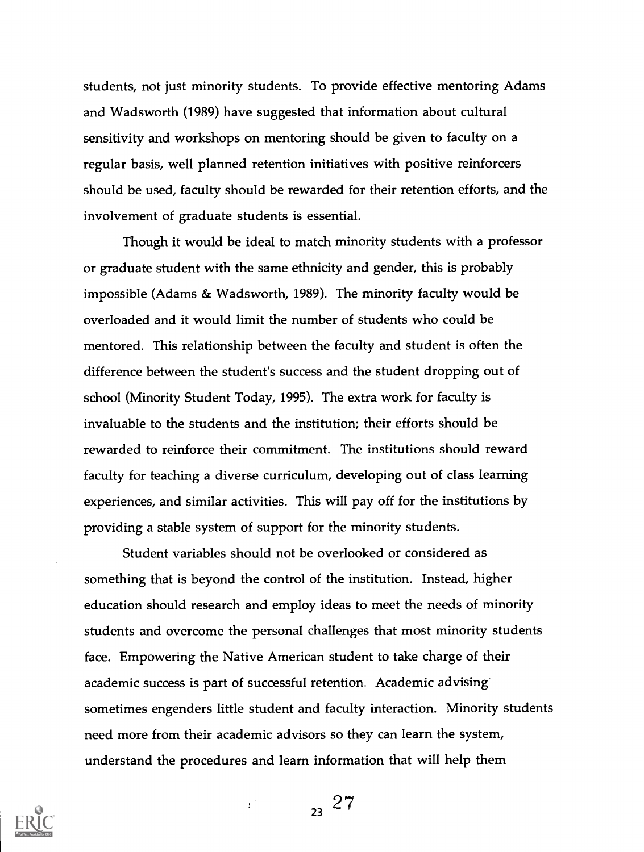students, not just minority students. To provide effective mentoring Adams and Wadsworth (1989) have suggested that information about cultural sensitivity and workshops on mentoring should be given to faculty on a regular basis, well planned retention initiatives with positive reinforcers should be used, faculty should be rewarded for their retention efforts, and the involvement of graduate students is essential.

Though it would be ideal to match minority students with a professor or graduate student with the same ethnicity and gender, this is probably impossible (Adams & Wadsworth, 1989). The minority faculty would be overloaded and it would limit the number of students who could be mentored. This relationship between the faculty and student is often the difference between the student's success and the student dropping out of school (Minority Student Today, 1995). The extra work for faculty is invaluable to the students and the institution; their efforts should be rewarded to reinforce their commitment. The institutions should reward faculty for teaching a diverse curriculum, developing out of class learning experiences, and similar activities. This will pay off for the institutions by providing a stable system of support for the minority students.

Student variables should not be overlooked or considered as something that is beyond the control of the institution. Instead, higher education should research and employ ideas to meet the needs of minority students and overcome the personal challenges that most minority students face. Empowering the Native American student to take charge of their academic success is part of successful retention. Academic advising' sometimes engenders little student and faculty interaction. Minority students need more from their academic advisors so they can learn the system, understand the procedures and learn information that will help them

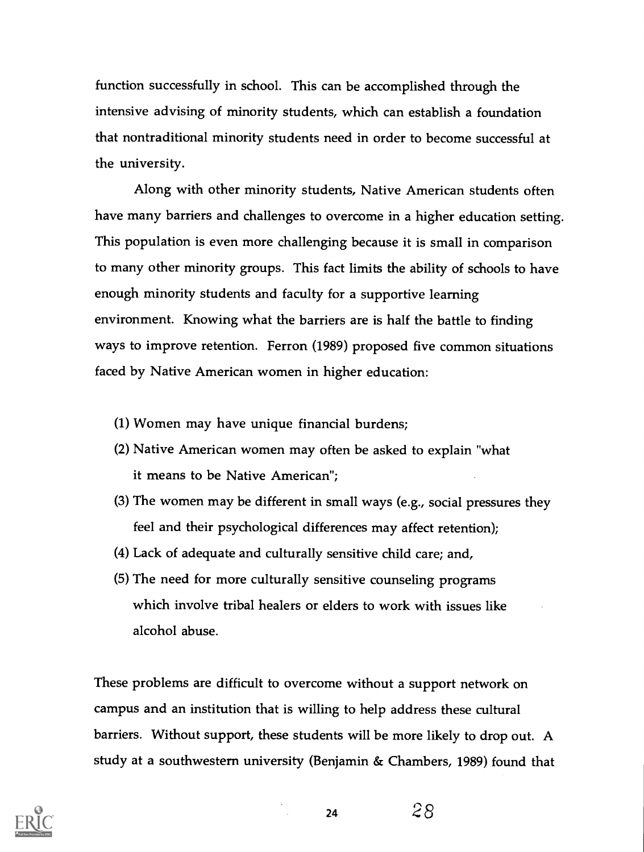function successfully in school. This can be accomplished through the intensive advising of minority students, which can establish a foundation that nontraditional minority students need in order to become successful at the university.

Along with other minority students, Native American students often have many barriers and challenges to overcome in a higher education setting. This population is even more challenging because it is small in comparison to many other minority groups. This fact limits the ability of schools to have enough minority students and faculty for a supportive learning environment. Knowing what the barriers are is half the battle to finding ways to improve retention. Ferron (1989) proposed five common situations faced by Native American women in higher education:

- (1) Women may have unique financial burdens;
- (2) Native American women may often be asked to explain "what it means to be Native American";
- (3) The women may be different in small ways (e.g., social pressures they feel and their psychological differences may affect retention);
- (4) Lack of adequate and culturally sensitive child care; and,
- (5) The need for more culturally sensitive counseling programs which involve tribal healers or elders to work with issues like alcohol abuse.

These problems are difficult to overcome without a support network on campus and an institution that is willing to help address these cultural barriers. Without support, these students will be more likely to drop out. A study at a southwestern university (Benjamin & Chambers, 1989) found that

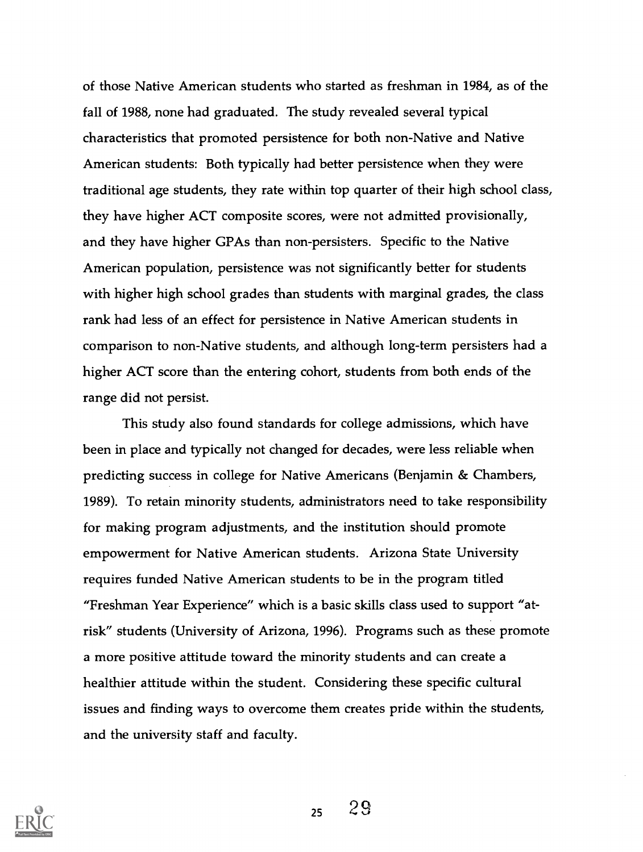of those Native American students who started as freshman in 1984, as of the fall of 1988, none had graduated. The study revealed several typical characteristics that promoted persistence for both non-Native and Native American students: Both typically had better persistence when they were traditional age students, they rate within top quarter of their high school class, they have higher ACT composite scores, were not admitted provisionally, and they have higher GPAs than non-persisters. Specific to the Native American population, persistence was not significantly better for students with higher high school grades than students with marginal grades, the class rank had less of an effect for persistence in Native American students in comparison to non-Native students, and although long-term persisters had a higher ACT score than the entering cohort, students from both ends of the range did not persist.

This study also found standards for college admissions, which have been in place and typically not changed for decades, were less reliable when predicting success in college for Native Americans (Benjamin & Chambers, 1989). To retain minority students, administrators need to take responsibility for making program adjustments, and the institution should promote empowerment for Native American students. Arizona State University requires funded Native American students to be in the program titled "Freshman Year Experience" which is a basic skills class used to support "atrisk" students (University of Arizona, 1996). Programs such as these promote a more positive attitude toward the minority students and can create a healthier attitude within the student. Considering these specific cultural issues and finding ways to overcome them creates pride within the students, and the university staff and faculty.

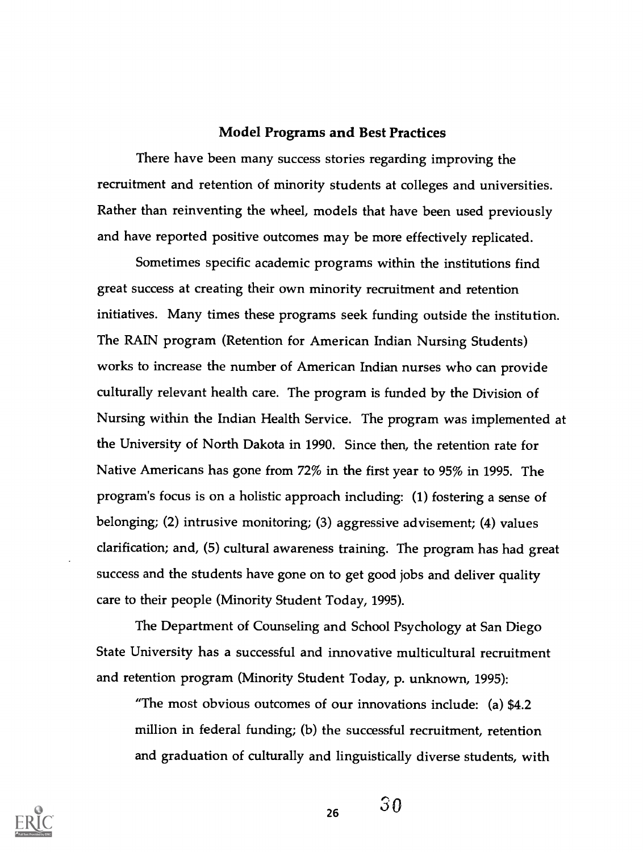## Model Programs and Best Practices

There have been many success stories regarding improving the recruitment and retention of minority students at colleges and universities. Rather than reinventing the wheel, models that have been used previously and have reported positive outcomes may be more effectively replicated.

Sometimes specific academic programs within the institutions find great success at creating their own minority recruitment and retention initiatives. Many times these programs seek funding outside the institution. The RAIN program (Retention for American Indian Nursing Students) works to increase the number of American Indian nurses who can provide culturally relevant health care. The program is funded by the Division of Nursing within the Indian Health Service. The program was implemented at the University of North Dakota in 1990. Since then, the retention rate for Native Americans has gone from 72% in the first year to 95% in 1995. The program's focus is on a holistic approach including: (1) fostering a sense of belonging; (2) intrusive monitoring; (3) aggressive advisement; (4) values clarification; and, (5) cultural awareness training. The program has had great success and the students have gone on to get good jobs and deliver quality care to their people (Minority Student Today, 1995).

The Department of Counseling and School Psychology at San Diego State University has a successful and innovative multicultural recruitment and retention program (Minority Student Today, p. unknown, 1995):

"The most obvious outcomes of our innovations include: (a) \$4.2 million in federal funding; (b) the successful recruitment, retention and graduation of culturally and linguistically diverse students, with



 $_{26}$  30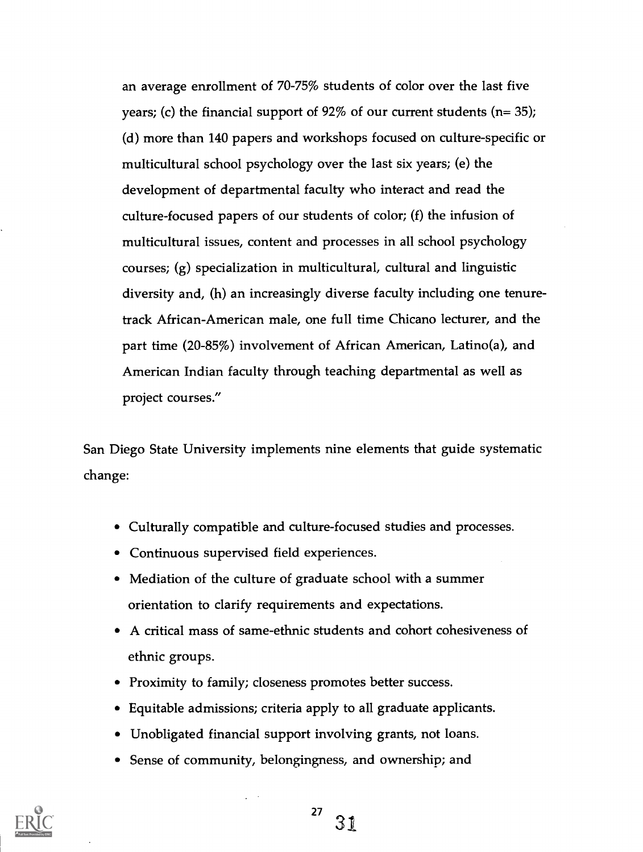an average enrollment of 70-75% students of color over the last five years; (c) the financial support of  $92\%$  of our current students (n= 35); (d) more than 140 papers and workshops focused on culture-specific or multicultural school psychology over the last six years; (e) the development of departmental faculty who interact and read the culture-focused papers of our students of color; (f) the infusion of multicultural issues, content and processes in all school psychology courses; (g) specialization in multicultural, cultural and linguistic diversity and, (h) an increasingly diverse faculty including one tenuretrack African-American male, one full time Chicano lecturer, and the part time (20-85%) involvement of African American, Latino(a), and American Indian faculty through teaching departmental as well as project courses."

San Diego State University implements nine elements that guide systematic change:

- Culturally compatible and culture-focused studies and processes.
- Continuous supervised field experiences.
- Mediation of the culture of graduate school with a summer orientation to clarify requirements and expectations.
- A critical mass of same-ethnic students and cohort cohesiveness of ethnic groups.
- Proximity to family; closeness promotes better success.
- Equitable admissions; criteria apply to all graduate applicants.
- Unobligated financial support involving grants, not loans.
- Sense of community, belongingness, and ownership; and

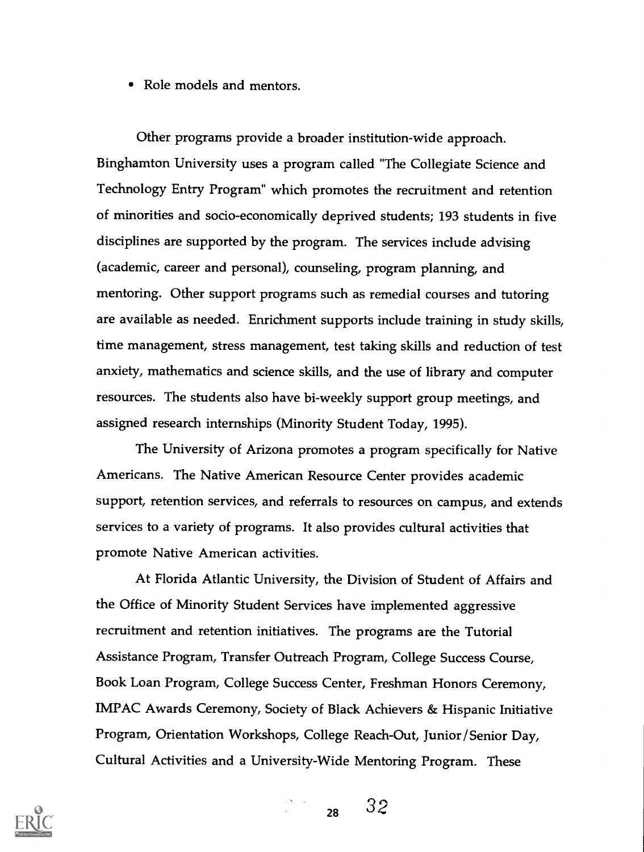• Role models and mentors.

Other programs provide a broader institution-wide approach. Binghamton University uses a program called "The Collegiate Science and Technology Entry Program" which promotes the recruitment and retention of minorities and socio-economically deprived students; 193 students in five disciplines are supported by the program. The services include advising (academic, career and personal), counseling, program planning, and mentoring. Other support programs such as remedial courses and tutoring are available as needed. Enrichment supports include training in study skills, time management, stress management, test taking skills and reduction of test anxiety, mathematics and science skills, and the use of library and computer resources. The students also have bi-weekly support group meetings, and assigned research internships (Minority Student Today, 1995).

The University of Arizona promotes a program specifically for Native Americans. The Native American Resource Center provides academic support, retention services, and referrals to resources on campus, and extends services to a variety of programs. It also provides cultural activities that promote Native American activities.

At Florida Atlantic University, the Division of Student of Affairs and the Office of Minority Student Services have implemented aggressive recruitment and retention initiatives. The programs are the Tutorial Assistance Program, Transfer Outreach Program, College Success Course, Book Loan Program, College Success Center, Freshman Honors Ceremony, IMPAC Awards Ceremony, Society of Black Achievers & Hispanic Initiative Program, Orientation Workshops, College Reach-Out, Junior /Senior Day, Cultural Activities and a University-Wide Mentoring Program. These

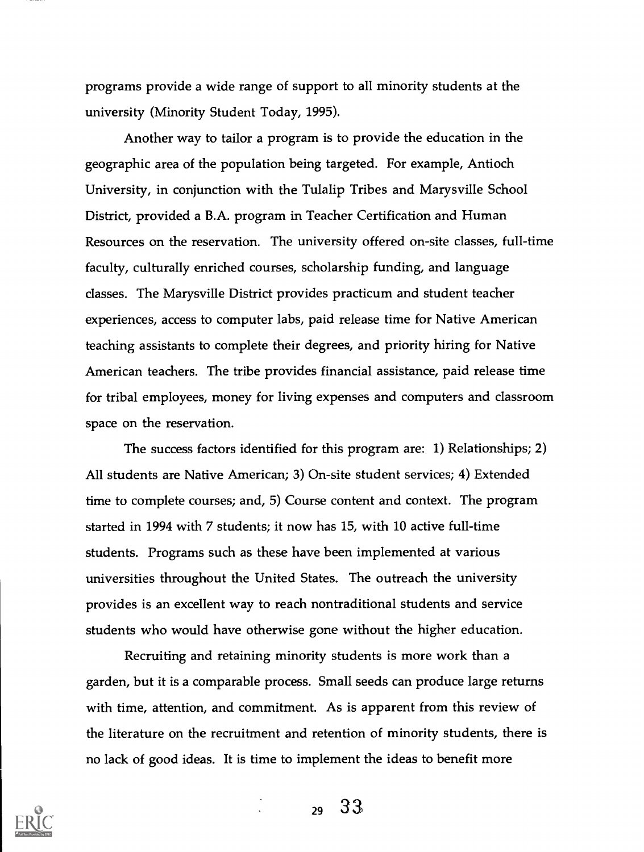programs provide a wide range of support to all minority students at the university (Minority Student Today, 1995).

Another way to tailor a program is to provide the education in the geographic area of the population being targeted. For example, Antioch University, in conjunction with the Tulalip Tribes and Marysville School District, provided a B.A. program in Teacher Certification and Human Resources on the reservation. The university offered on-site classes, full-time faculty, culturally enriched courses, scholarship funding, and language classes. The Marysville District provides practicum and student teacher experiences, access to computer labs, paid release time for Native American teaching assistants to complete their degrees, and priority hiring for Native American teachers. The tribe provides financial assistance, paid release time for tribal employees, money for living expenses and computers and classroom space on the reservation.

The success factors identified for this program are: 1) Relationships; 2) All students are Native American; 3) On-site student services; 4) Extended time to complete courses; and, 5) Course content and context. The program started in 1994 with 7 students; it now has 15, with 10 active full-time students. Programs such as these have been implemented at various universities throughout the United States. The outreach the university provides is an excellent way to reach nontraditional students and service students who would have otherwise gone without the higher education.

Recruiting and retaining minority students is more work than a garden, but it is a comparable process. Small seeds can produce large returns with time, attention, and commitment. As is apparent from this review of the literature on the recruitment and retention of minority students, there is no lack of good ideas. It is time to implement the ideas to benefit more

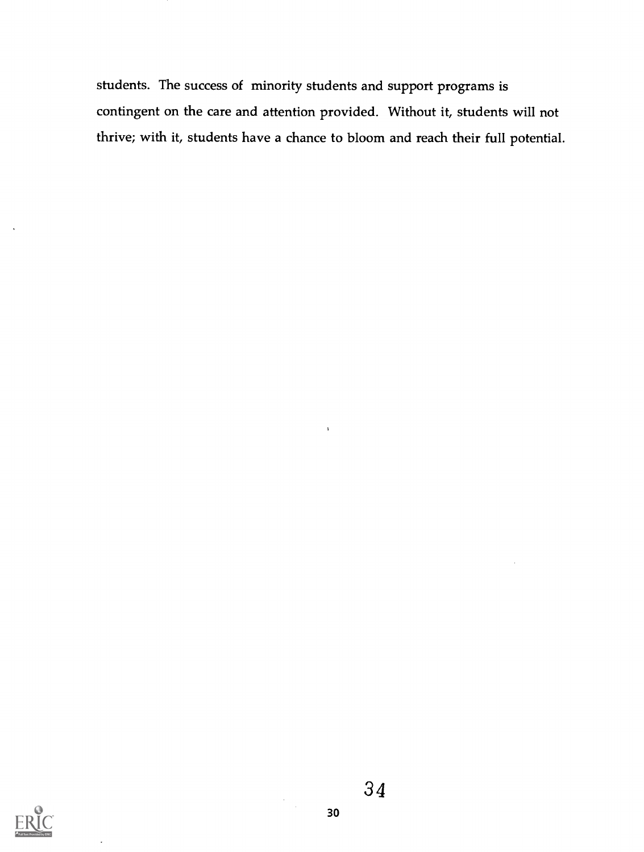students. The success of minority students and support programs is contingent on the care and attention provided. Without it, students will not thrive; with it, students have a chance to bloom and reach their full potential.

 $\mathbf{r}$ 

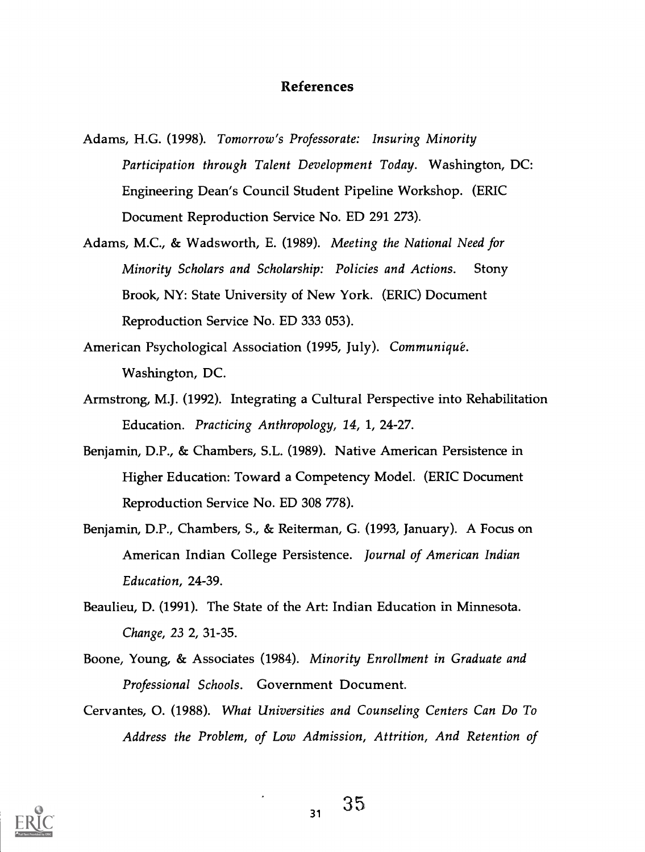#### References

- Adams, H.G. (1998). Tomorrow's Professorate: Insuring Minority Participation through Talent Development Today. Washington, DC: Engineering Dean's Council Student Pipeline Workshop. (ERIC Document Reproduction Service No. ED 291 273).
- Adams, M.C., & Wadsworth, E. (1989). Meeting the National Need for Minority Scholars and Scholarship: Policies and Actions. Stony Brook, NY: State University of New York. (ERIC) Document Reproduction Service No. ED 333 053).
- American Psychological Association (1995, July). Communique. Washington, DC.
- Armstrong, M.J. (1992). Integrating a Cultural Perspective into Rehabilitation Education. Practicing Anthropology, 14, 1, 24-27.
- Benjamin, D.P., & Chambers, S.L. (1989). Native American Persistence in Higher Education: Toward a Competency Model. (ERIC Document Reproduction Service No. ED 308 778).
- Benjamin, D.P., Chambers, S., & Reiterman, G. (1993, January). A Focus on American Indian College Persistence. Journal of American Indian Education, 24-39.
- Beaulieu, D. (1991). The State of the Art: Indian Education in Minnesota. Change, 23 2, 31-35.
- Boone, Young, & Associates (1984). Minority Enrollment in Graduate and Professional Schools. Government Document.
- Cervantes, 0. (1988). What Universities and Counseling Centers Can Do To Address the Problem, of Low Admission, Attrition, And Retention of

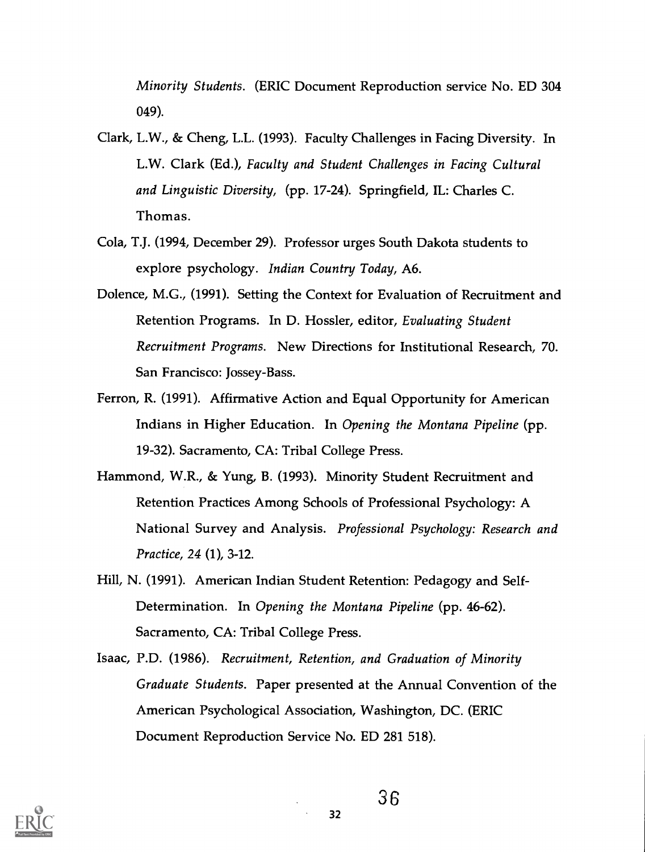Minority Students. (ERIC Document Reproduction service No. ED 304 049).

- Clark, L.W., & Cheng, L.L. (1993). Faculty Challenges in Facing Diversity. In L.W. Clark (Ed.), Faculty and Student Challenges in Facing Cultural and Linguistic Diversity, (pp. 17-24). Springfield, IL: Charles C. Thomas.
- Cola, T.J. (1994, December 29). Professor urges South Dakota students to explore psychology. Indian Country Today, A6.
- Dolence, M.G., (1991). Setting the Context for Evaluation of Recruitment and Retention Programs. In D. Hossler, editor, Evaluating Student Recruitment Programs. New Directions for Institutional Research, 70. San Francisco: Jossey-Bass.
- Ferron, R. (1991). Affirmative Action and Equal Opportunity for American Indians in Higher Education. In Opening the Montana Pipeline (pp. 19-32). Sacramento, CA: Tribal College Press.
- Hammond, W.R., & Yung, B. (1993). Minority Student Recruitment and Retention Practices Among Schools of Professional Psychology: A National Survey and Analysis. Professional Psychology: Research and Practice, 24 (1), 3-12.
- Hill, N. (1991). American Indian Student Retention: Pedagogy and Self-Determination. In Opening the Montana Pipeline (pp. 46-62). Sacramento, CA: Tribal College Press.
- Isaac, P.D. (1986). Recruitment, Retention, and Graduation of Minority Graduate Students. Paper presented at the Annual Convention of the American Psychological Association, Washington, DC. (ERIC Document Reproduction Service No. ED 281 518).

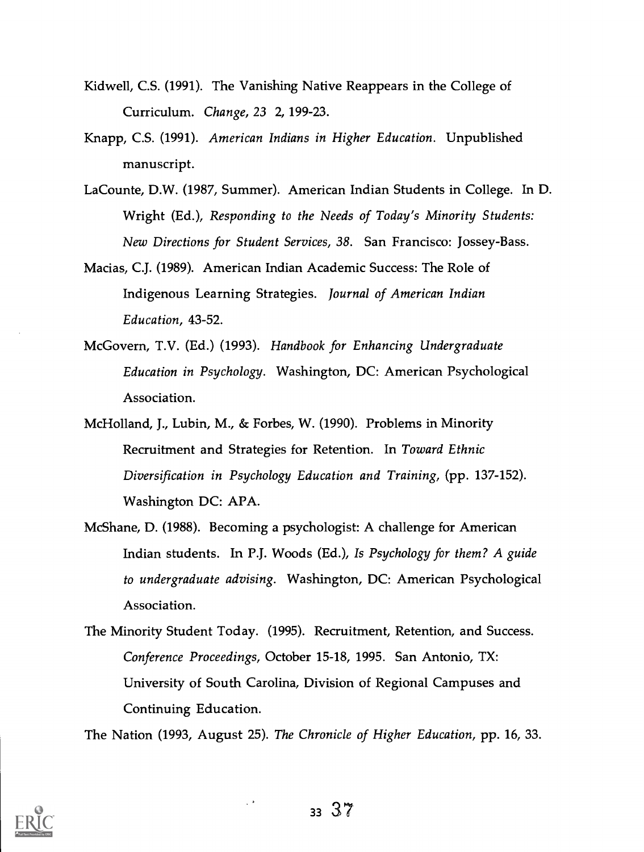- Kidwell, C.S. (1991). The Vanishing Native Reappears in the College of Curriculum. Change, 23 2, 199-23.
- Knapp, C.S. (1991). American Indians in Higher Education. Unpublished manuscript.
- LaCounte, D.W. (1987, Summer). American Indian Students in College. In D. Wright (Ed.), Responding to the Needs of Today's Minority Students: New Directions for Student Services, 38. San Francisco: Jossey-Bass.
- Macias, C.J. (1989). American Indian Academic Success: The Role of Indigenous Learning Strategies. Journal of American Indian Education, 43-52.
- McGovern, T.V. (Ed.) (1993). Handbook for Enhancing Undergraduate Education in Psychology. Washington, DC: American Psychological Association.
- McHolland, J., Lubin, M., & Forbes, W. (1990). Problems in Minority Recruitment and Strategies for Retention. In Toward Ethnic Diversification in Psychology Education and Training, (pp. 137-152). Washington DC: APA.
- McShane, D. (1988). Becoming a psychologist: A challenge for American Indian students. In P.J. Woods (Ed.), Is Psychology for them? A guide to undergraduate advising. Washington, DC: American Psychological Association.
- The Minority Student Today. (1995). Recruitment, Retention, and Success. Conference Proceedings, October 15-18, 1995. San Antonio, TX: University of South Carolina, Division of Regional Campuses and Continuing Education.

The Nation (1993, August 25). The Chronicle of Higher Education, pp. 16, 33.

 $\mathcal{L}^{\mathcal{A}}$ 

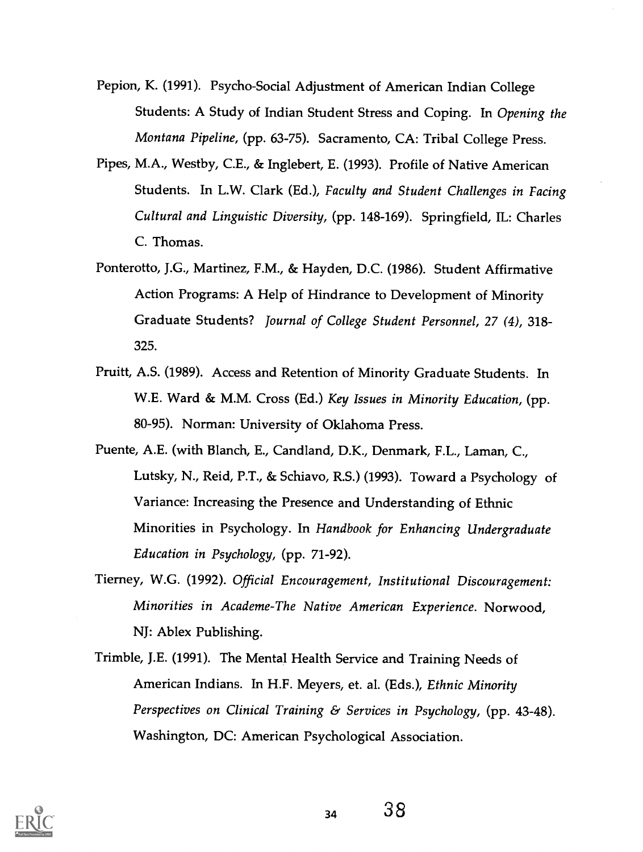- Pepion, K. (1991). Psycho-Social Adjustment of American Indian College Students: A Study of Indian Student Stress and Coping. In Opening the Montana Pipeline, (pp. 63-75). Sacramento, CA: Tribal College Press.
- Pipes, M.A., Westby, C.E., & Inglebert, E. (1993). Profile of Native American Students. In L.W. Clark (Ed.), Faculty and Student Challenges in Facing Cultural and Linguistic Diversity, (pp. 148-169). Springfield, IL: Charles C. Thomas.
- Ponterotto, J.G., Martinez, F.M., & Hayden, D.C. (1986). Student Affirmative Action Programs: A Help of Hindrance to Development of Minority Graduate Students? Journal of College Student Personnel, 27 (4), 318- 325.
- Pruitt, A.S. (1989). Access and Retention of Minority Graduate Students. In W.E. Ward & M.M. Cross (Ed.) Key Issues in Minority Education, (pp. 80-95). Norman: University of Oklahoma Press.
- Puente, A.E. (with Blanch, E., Candland, D.K., Denmark, F.L., Laman, C., Lutsky, N., Reid, P.T., & Schiavo, R.S.) (1993). Toward a Psychology of Variance: Increasing the Presence and Understanding of Ethnic Minorities in Psychology. In Handbook for Enhancing Undergraduate Education in Psychology, (pp. 71-92).
- Tierney, W.G. (1992). Official Encouragement, Institutional Discouragement: Minorities in Academe-The Native American Experience. Norwood, NJ: Ablex Publishing.
- Trimble, J.E. (1991). The Mental Health Service and Training Needs of American Indians. In H.F. Meyers, et. al. (Eds.), Ethnic Minority Perspectives on Clinical Training & Services in Psychology, (pp. 43-48). Washington, DC: American Psychological Association.

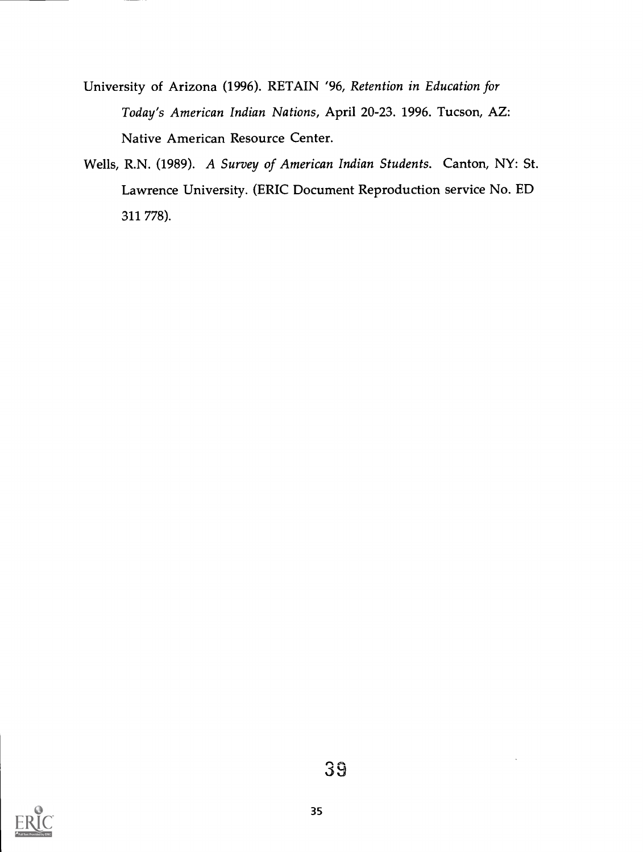- University of Arizona (1996). RETAIN '96, Retention in Education for Today's American Indian Nations, April 20-23. 1996. Tucson, AZ: Native American Resource Center.
- Wells, R.N. (1989). A Survey of American Indian Students. Canton, NY: St. Lawrence University. (ERIC Document Reproduction service No. ED 311 778).